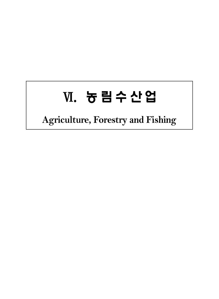## Ⅵ. 농림수산업

## **Agriculture, Forestry and Fishing**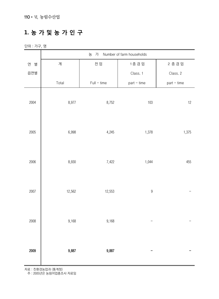## **1. 농 가 및 농 가 인 구**

단위 : 가구, 명

|        | Number of farm households<br>농 가 |               |                  |             |  |  |  |  |
|--------|----------------------------------|---------------|------------------|-------------|--|--|--|--|
| 연<br>별 | 계                                | 전 업           | 1종 겸 업           | 2종겸업        |  |  |  |  |
| 읍면별    |                                  |               | Class. 1         | Class. 2    |  |  |  |  |
|        | Total                            | $Full - time$ | part - time      | part - time |  |  |  |  |
| 2004   | 8,977                            | 8,752         | $103$            | 12          |  |  |  |  |
| 2005   | 6,998                            | 4,245         | 1,378            | 1,375       |  |  |  |  |
| 2006   | 8,930                            | 7,422         | 1,044            | 455         |  |  |  |  |
| 2007   | 12,562                           | 12,553        | $\boldsymbol{9}$ |             |  |  |  |  |
| 2008   | 9,168                            | 9,168         |                  |             |  |  |  |  |
| 2009   | 9,887                            | 9,887         |                  |             |  |  |  |  |

자료 : 친환경농업과 (통계청)

주 : 2005년은 농림어업총조사 자료임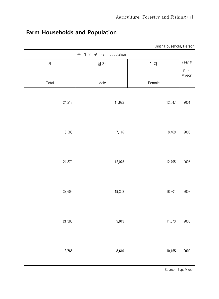|               | Unit: Household, Person |                         |        |
|---------------|-------------------------|-------------------------|--------|
|               |                         | 농 가 인 구 Farm population |        |
| Year &        | 여 자                     | 남자                      | 계      |
| Eup,<br>Myeon |                         |                         |        |
|               | Female                  | Male                    | Total  |
| 2004          | 12,547                  | 11,622                  | 24,218 |
| 2005          | 8,469                   | 7,116                   | 15,585 |
| 2006          | 12,795                  | 12,075                  | 24,870 |
| 2007          | 18,301                  | 19,308                  | 37,609 |
| 2008          | 11,573                  | 9,813                   | 21,386 |
| 2009          | 10,155                  | 8,610                   | 18,765 |

## **Farm Households and Population**

Source : Eup. Myeon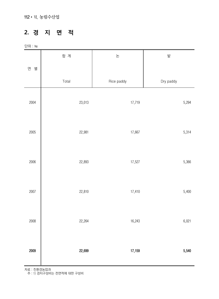#### **2. 경 지 면 적**

단위 : ha

|        | 합 계    | 논          | 밭         |
|--------|--------|------------|-----------|
| 연<br>별 |        |            |           |
|        | Total  | Rice paddy | Dry paddy |
| 2004   | 23,013 | 17,719     | 5,294     |
| 2005   | 22,981 | 17,667     | 5,314     |
| 2006   | 22,893 | 17,527     | 5,366     |
| 2007   | 22,810 | 17,410     | 5,400     |
| 2008   | 22,264 | 16,243     | 6,021     |
| 2009   | 22,699 | 17,159     | 5,540     |

자료 : 친환경농업과

주 : 1) 경지구성비는 전면적에 대한 구성비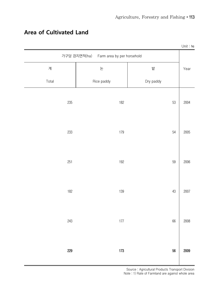|       |                                            |           | Unit: $ha$ |
|-------|--------------------------------------------|-----------|------------|
|       | 가구당 경지면적(ha)<br>Farm area by per horsehold |           |            |
| 계     | 논                                          | 밭         | Year       |
| Total | Rice paddy                                 | Dry paddy |            |
| 235   | $182$                                      | 53        | 2004       |
| 233   | 179                                        | 54        | 2005       |
| 251   | 192                                        | 59        | 2006       |
| $182$ | 139                                        | 43        | 2007       |
| 243   | 177                                        | 66        | 2008       |
| 229   | $173\,$                                    | 56        | 2009       |

## **Area of Cultivated Land**

 Source : Agricultural Products Transport Division Note : 1) Rate of Farmland are against whole area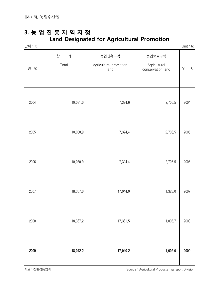#### **3. 농 업 진 흥 지 역 지 정 Land Designated for Agricultural Promotion**

| 단위 : ha |                 |                                          |                                             | Unit : $\hbox{\tt ha}$ |
|---------|-----------------|------------------------------------------|---------------------------------------------|------------------------|
| 연<br>별  | 합<br>계<br>Total | 농업진흥구역<br>Agricultural promotion<br>land | 농업보호구역<br>Agricultural<br>conservation land | Year &                 |
| 2004    | 10,031.0        | 7,324.6                                  | 2,706.5                                     | 2004                   |
| 2005    | 10,030.9        | 7,324.4                                  | 2,706.5                                     | 2005                   |
| 2006    | 10,030.9        | 7,324.4                                  | 2,706.5                                     | 2006                   |
| 2007    | 18,367.0        | 17,044.0                                 | 1,323.0                                     | 2007                   |
| 2008    | 18,367.2        | 17,361.5                                 | 1,005.7                                     | 2008                   |
| 2009    | 18,042.2        | 17,040.2                                 | 1,002.0                                     | 2009                   |

자료 : 친환경농업과 Source : Agricultural Products Transport Division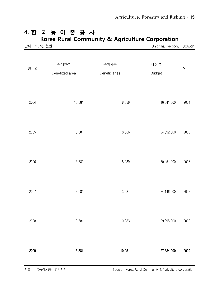### **4. 한 국 농 어 촌 공 사 Korea Rural Community & Agriculture Corporation**

| 단위 : ha, 명, 천원 |                         |                       | Unit: ha, person, 1,000won |      |
|----------------|-------------------------|-----------------------|----------------------------|------|
| 별<br>연         | 수혜면적<br>Benefitted area | 수혜자수<br>Beneficiaries | 예산액<br>Budget              | Year |
| 2004           | 13,581                  | 18,586                | 16,641,000                 | 2004 |
| 2005           | 13,581                  | 18,586                | 24,892,000                 | 2005 |
| 2006           | 13,582                  | 18,239                | 30,451,000                 | 2006 |
| 2007           | 13,581                  | 13,581                | 24,146,000                 | 2007 |
| 2008           | 13,581                  | 10,383                | 29,895,000                 | 2008 |
| 2009           | 13,581                  | 10,951                | 27,384,000                 | 2009 |

자료 : 한국농어촌공사 영암지사 Source : Korea Rural Community & Agriculture corporation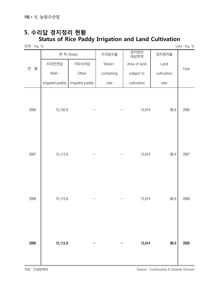## **5. 수리답 경지정리 현황 Status of Rice Paddy Irrigation and Land Cultivation**

단위 : ha, % Unit : ha, %

|        | 면 적 (Area)      |                 | 수리담수율      | 경지정리<br>대상면적 | 경지정리율       |      |
|--------|-----------------|-----------------|------------|--------------|-------------|------|
| 연<br>별 | 수리안전답           | 기타수리답           | Water-     | Area of land | Land        |      |
|        | Well-           | Other           | containing | subject to   | cultivation | Year |
|        | irrigated paddy | irrigated paddy | rate       | cultivation  | rate        |      |
| 2006   | 15,102.8        |                 |            | 13,614       | 88.9        | 2006 |
| 2007   | 15,113.8        |                 |            | 13,614       | 88.9        | 2007 |
| 2008   | 15,113.8        |                 |            | 13,614       | 88.9        | 2008 |
| 2009   | 15,113.8        |                 |            | 13,614       | 88.9        | 2009 |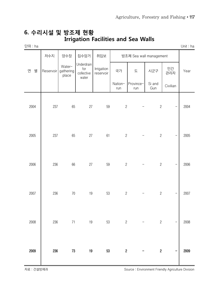#### **6. 수리시설 및 방조제 현황 Irrigation Facilities and Sea Walls**

| 난위∶ha  |           |                              |                                                                    |                         |                  |                         |                  |           | Unit : $ha$ |
|--------|-----------|------------------------------|--------------------------------------------------------------------|-------------------------|------------------|-------------------------|------------------|-----------|-------------|
|        | 저수지       | 양수장                          | 집수암거                                                               | 취입보                     |                  | 방조제 Sea wall management |                  |           |             |
| 연<br>별 | Reservoir | Water-<br>gathering<br>place | Underdrain<br>$\operatorname{\textsf{for}}$<br>collective<br>water | Irrigation<br>reservoir | 국가               | 도                       | 시군구              | 민간<br>관리자 | Year        |
|        |           |                              |                                                                    |                         | Nation-<br>run   | Province-<br>run        | Si and<br>Gun    | Civilian  |             |
| 2004   | 237       | 65                           | 27                                                                 | 59                      | $\overline{c}$   |                         | $\sqrt{2}$       |           | 2004        |
| 2005   | 237       | 65                           | 27                                                                 | 61                      | $\overline{c}$   |                         | $\sqrt{2}$       | —         | 2005        |
| 2006   | 236       | 66                           | 27                                                                 | 59                      | $\overline{c}$   |                         | $\sqrt{2}$       |           | 2006        |
| 2007   | 236       | $70\,$                       | 19                                                                 | 53                      | $\overline{c}$   |                         | $\overline{c}$   |           | 2007        |
| 2008   | 236       | 71                           | 19                                                                 | 53                      | $\overline{c}$   |                         | $\overline{c}$   |           | 2008        |
| 2009   | 236       | $73\,$                       | 19                                                                 | 53                      | $\boldsymbol{2}$ |                         | $\boldsymbol{2}$ |           | 2009        |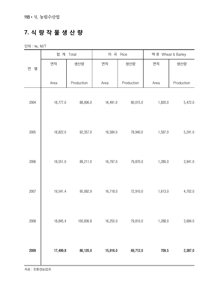## **7. 식 량 작 물 생 산 량**

단위 : ㏊, M/T

|        | 합 계      | Total      | 미 곡      | Rice       | 맥류 Wheat & Barley |            |
|--------|----------|------------|----------|------------|-------------------|------------|
| 별<br>연 | 면적       | 생산량        | 면적       | 생산량        | 면적                | 생산량        |
|        | Area     | Production | Area     | Production | Area              | Production |
| 2004   | 18,777.0 | 88,006.0   | 16,491.0 | 80,015.0   | 1,820.0           | 5,472.0    |
| 2005   | 18,822.0 | 92,357.0   | 16,584.0 | 78,940.0   | 1,597.0           | 5,241.0    |
| 2006   | 18,551.0 | 89,211.0   | 16,797.0 | 79,870.0   | 1,280.0           | 3,941.0    |
| 2007   | 19,541.4 | 95,092.9   | 16,718.0 | 72,910.0   | 1,613.0           | 4,702.0    |
| 2008   | 18,845.4 | 100,836.8  | 16,255.0 | 79,810.0   | 1,288.0           | 3,684.0    |
| 2009   | 17,499.8 | 86,120.0   | 15,916.0 | 69,712.0   | 709.5             | 2,387.0    |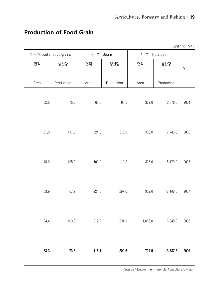# Unit : ha, M/T 잡곡 Miscellaneous grains | 두류 Beans | 서류 Potatoes Year 면석 | 생산량 | 생산량 | 면석 | 생산량 Area | Production | Area | Production | Area | Production 32.0 75.0 65.0 68.0 369.0 2,376.0 2004 51.0 117.0 224.0 316.0 366.0 7,743.0 2005 48.0 105.0 100.0 119.0 326.0 5,179.0 2006 33.9 67.9 224.5 267.0 952.0 17,146.0 2007 24.4 103.8 212.0 291.0 1,066.0 16,948.0 2008 33.3 73.8 116.1 209.6 724.9 13,737.6 2009

#### **Production of Food Grain**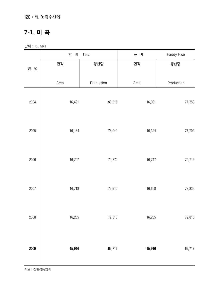120•Ⅵ. 농림수산업

### **7-1. 미 곡**

단위 : ㏊, M/T

|        | 합<br>계 | Total      | 논 벼    | Paddy Rice |
|--------|--------|------------|--------|------------|
| 별<br>연 | 면적     | 생산량        | 면적     | 생산량        |
|        | Area   | Production | Area   | Production |
| 2004   | 16,491 | 80,015     | 16,031 | 77,750     |
| 2005   | 16,184 | 78,940     | 16,324 | 77,702     |
| 2006   | 16,797 | 79,870     | 16,747 | 79,715     |
| 2007   | 16,718 | 72,910     | 16,668 | 72,839     |
| 2008   | 16,255 | 79,810     | 16,255 | 79,810     |
| 2009   | 15,916 | 69,712     | 15,916 | 69,712     |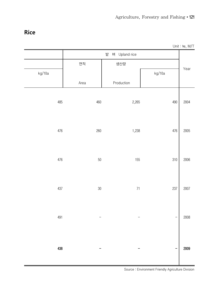#### **Rice**

|        |         |                    |         | Unit : $ha$ , $M/T$ |
|--------|---------|--------------------|---------|---------------------|
|        |         | 밭<br>벼 Upland rice |         |                     |
|        | 면적      | 생산량                |         |                     |
| kg/10a |         |                    | kg/10a  | Year                |
|        | Area    | Production         |         |                     |
|        |         |                    |         |                     |
| 485    | 460     | 2,265              | 490     | 2004                |
|        |         |                    |         |                     |
|        |         |                    |         |                     |
| 476    |         |                    | 476     | 2005                |
|        | $260\,$ | 1,238              |         |                     |
|        |         |                    |         |                     |
|        |         |                    |         |                     |
| 476    | $50\,$  | 155                | $310\,$ | 2006                |
|        |         |                    |         |                     |
|        |         |                    |         |                     |
| 437    | $30\,$  | $71\,$             | 237     | 2007                |
|        |         |                    |         |                     |
|        |         |                    |         |                     |
| 491    |         |                    |         | 2008                |
|        |         |                    |         |                     |
|        |         |                    |         |                     |
| 438    | -       |                    |         | 2009                |
|        |         |                    |         |                     |
|        |         |                    |         |                     |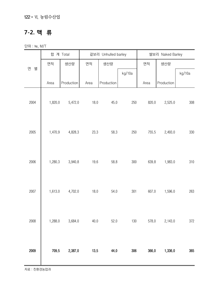122•Ⅵ. 농림수산업

### **7-2. 맥 류**

단위 : ㏊, M/T

|        |         | 합 계 Total  |      | 겉보리 Unhulled barley |         |       | 쌀보리 Naked Barley |        |
|--------|---------|------------|------|---------------------|---------|-------|------------------|--------|
|        | 면적      | 생산량        | 면적   | 생산량                 |         | 면적    | 생산량              |        |
| 연<br>별 |         |            |      |                     | kg/10a  |       |                  | kg/10a |
|        | Area    | Production | Area | Production          |         | Area  | Production       |        |
| 2004   | 1,820.0 | 5,472.0    | 18.0 | 45.0                | 250     | 820.0 | 2,525.0          | 308    |
| 2005   | 1,470.9 | 4,828.3    | 23.3 | 58.3                | 250     | 755.5 | 2,493.0          | 330    |
| 2006   | 1,280.3 | 3,940.8    | 19.6 | 58.8                | $300\,$ | 639.8 | 1,983.0          | 310    |
| 2007   | 1,613.0 | 4,702.0    | 18.0 | 54.0                | 301     | 607.0 | 1,596.0          | 263    |
| 2008   | 1,288.0 | 3,684.0    | 40.0 | 52.0                | 130     | 578.0 | 2,143.0          | 372    |
| 2009   | 709.5   | 2,387.0    | 13.5 | 44.0                | 306     | 366.0 | 1,336.0          | 365    |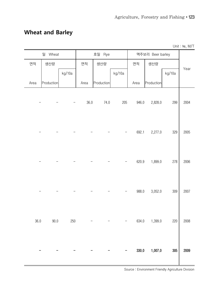## **Wheat and Barley**

Unit : ha, M/T

|      | 밀<br>Wheat |        |      | 호밀 Rye     |                   |       | 맥주보리 Beer barley |        |      |
|------|------------|--------|------|------------|-------------------|-------|------------------|--------|------|
| 면적   | 생산량        |        | 면적   | 생산량        |                   | 면적    | 생산량              |        | Year |
|      |            | kg/10a |      |            | kg/10a            |       |                  | kg/10a |      |
| Area | Production |        | Area | Production |                   | Area  | Production       |        |      |
|      |            |        | 36.0 | 74.0       | 205               | 946.0 | 2,828.0          | 299    | 2004 |
|      |            |        |      |            |                   | 692.1 | 2,277.0          | 329    | 2005 |
|      |            |        |      |            |                   | 620.9 | 1,899.0          | 278    | 2006 |
|      |            |        |      |            |                   | 988.0 | 3,052.0          | 309    | 2007 |
| 36.0 | 90.0       | 250    |      |            | $\qquad \qquad -$ | 634.0 | 1,399.0          | 220    | 2008 |
|      |            |        |      |            |                   | 330.0 | 1,007.0          | 305    | 2009 |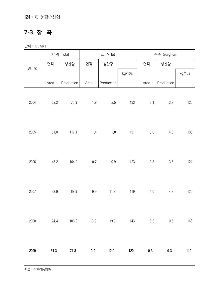124•Ⅵ. 농림수산업

## **7-3. 잡 곡**

단위 : ㏊, M/T

| 합계 Total<br>조 Millet |      |            |         |            |        |         | 수수 Sorghum |        |
|----------------------|------|------------|---------|------------|--------|---------|------------|--------|
|                      | 면적   | 생산량        | 면적      | 생산량        |        | 면적      | 생산량        |        |
| 연<br>별               |      |            |         |            | kg/10a |         |            | kg/10a |
|                      | Area | Production | Area    | Production |        | Area    | Production |        |
| 2004                 | 32.2 | 75.9       | $1.9$   | 2.5        | 133    | 3.1     | $3.9\,$    | 126    |
| 2005                 | 51.8 | 117.1      | 1.4     | $1.8\,$    | 131    | $3.0\,$ | 4.0        | 135    |
| 2006                 | 48.2 | 104.9      | $0.7\,$ | $0.9\,$    | 123    | 2.8     | 3.5        | 124    |
| 2007                 | 33.9 | 67.9       | $9.9\,$ | 11.8       | 119    | 4.0     | $4.8\,$    | 120    |
| 2008                 | 24.4 | 103.8      | 13.9    | 19.9       | 143    | 0.3     | 0.5        | 166    |
| 2009                 | 34.3 | 74.8       | $10.0$  | 12.0       | $120$  | $0.3\,$ | $\rm 0.3$  | 110    |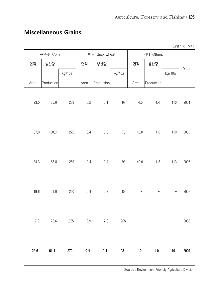| <b>Miscellaneous Grains</b> |  |
|-----------------------------|--|
|                             |  |

Unit : ha, M/T

|        | 옥수수 Corn   |        |         | 메밀 Buck wheat |        |         | 기타 Others  |        |      |
|--------|------------|--------|---------|---------------|--------|---------|------------|--------|------|
| 면적     | 생산량        |        | 면적      | 생산량           |        | 면적      | 생산량        |        | Year |
|        |            | kg/10a |         |               | kg/10a |         |            | kg/10a |      |
| Area   | Production |        | Area    | Production    |        | Area    | Production |        |      |
| 23.0   | 65.0       | 283    | $0.2\,$ | 0.1           | 69     | 4.0     | 4.4        | 110    | 2004 |
| 37.0   | 100.0      | 272    | 0.4     | 0.3           | $73\,$ | 10.0    | 11.0       | 110    | 2005 |
| 34.3   | 88.8       | 259    | 0.4     | 0.4           | 93     | 40.0    | 11.3       | 113    | 2006 |
| 19.6   | 51.0       | 260    | 0.4     | 0.3           | 83     |         |            |        | 2007 |
| 7.3    | 75.6       | 1,035  | 2.9     | $7.8$         | 268    |         |            | —      | 2008 |
| $22.6$ | 61.1       | 270    | 0.4     | $0.4\,$       | 108    | $1.0\,$ | $1.0\,$    | 110    | 2009 |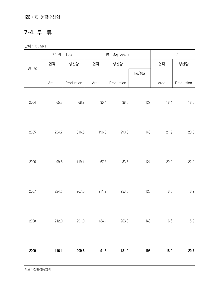### **7-4. 두 류**

단위 : ㏊, M/T

|        | 합 계   | Total      |       | Soy beans<br>콩 |        |      | 팥          |
|--------|-------|------------|-------|----------------|--------|------|------------|
|        | 면적    | 생산량        | 면적    | 생산량            |        | 면적   | 생산량        |
| 연<br>별 |       |            |       |                | kg/10a |      |            |
|        | Area  | Production | Area  | Production     |        | Area | Production |
| 2004   | 65.3  | 68.7       | 30.4  | 38.0           | 127    | 18.4 | 18.0       |
| 2005   | 224.7 | 316.5      | 196.0 | 290.0          | 148    | 21.9 | 20.0       |
| 2006   | 99.8  | 119.1      | 67.3  | 83.5           | 124    | 20.9 | 22.2       |
| 2007   | 224.5 | 267.0      | 211.2 | 253.0          | 120    | 8.0  | $8.2\,$    |
| 2008   | 212.0 | 291.0      | 184.1 | 263.0          | 143    | 16.6 | 15.9       |
| 2009   | 116.1 | 209.6      | 91.5  | 181.2          | 198    | 18.0 | 20.7       |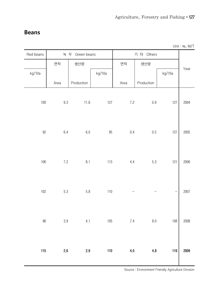#### **Beans**

| Unit: ha, M/T |  |  |  |  |
|---------------|--|--|--|--|
|---------------|--|--|--|--|

| Red beans |           | 녹 두 Green beans |        |         | 기 타 Others         |        |      |  |  |
|-----------|-----------|-----------------|--------|---------|--------------------|--------|------|--|--|
|           | 면적        | 생산량             |        | 면적      | 생산량                |        |      |  |  |
| kg/10a    |           |                 | kg/10a |         |                    | kg/10a | Year |  |  |
|           | Area      | Production      |        | Area    | Production         |        |      |  |  |
| $100\,$   | $9.3\,$   | 11.8            | 127    | 7.2     | $0.9\,$            | 127    | 2004 |  |  |
| $92\,$    | $6.4\,$   | $6.0\,$         | 95     | 0.4     | 0.5                | 127    | 2005 |  |  |
| 106       | $7.2\,$   | 8.1             | 113    | 4.4     | 5.3                | 121    | 2006 |  |  |
| $102$     | $5.3\,$   | 5.8             | 110    |         |                    |        | 2007 |  |  |
| 96        | $\rm 3.9$ | 4.1             | 105    | 7.4     | $\boldsymbol{8.0}$ | 108    | 2008 |  |  |
| 115       | $2.6\,$   | 2.9             | $110$  | $4.0\,$ | $4.8\,$            | 119    | 2009 |  |  |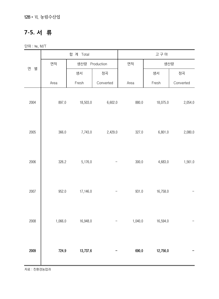128•Ⅵ. 농림수산업

## **7-5. 서 류**

단위 : ㏊, M/T

|        |         | 합 계 Total      |           |         | 고구마      |           |
|--------|---------|----------------|-----------|---------|----------|-----------|
|        | 면적      | 생산량 Production |           | 면적      | 생산량      |           |
| 별<br>연 |         | 생서             | 정곡        |         | 생서       | 정곡        |
|        | Area    | Fresh          | Converted | Area    | Fresh    | Converted |
| 2004   | 897.0   | 18,503.0       | 6,602.0   | 880.0   | 18,075.0 | 2,054.0   |
| 2005   | 366.0   | 7,743.0        | 2,429.0   | 327.0   | 6,801.0  | 2,080.0   |
| 2006   | 326.2   | 5,176.0        |           | 300.0   | 4,683.0  | 1,561.0   |
| 2007   | 952.0   | 17,146.0       |           | 931.0   | 16,758.0 |           |
| 2008   | 1,066.0 | 16,948.0       |           | 1,040.0 | 16,594.0 |           |
| 2009   | 724.9   | 13,737.6       |           | 690.0   | 12,756.0 |           |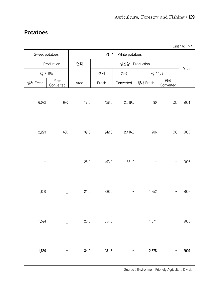#### **Potatoes**

|                |                 |      |       |                    |                |                 | Unit : $ha$ , M/T |
|----------------|-----------------|------|-------|--------------------|----------------|-----------------|-------------------|
| Sweet potatoes |                 |      |       | 감 자 White potatoes |                |                 |                   |
|                | Production      | 면적   |       |                    | 생산량 Production |                 |                   |
|                | kg / 10a        |      | 생서    | 정곡                 | kg / 10a       |                 | Year              |
| 생서 Fresh       | 정곡<br>Converted | Area | Fresh | Converted          | 생서 Fresh       | 정곡<br>Converted |                   |
| 6,072          | 690             | 17.0 | 428.0 | 2,519.0            | 90             | 530             | 2004              |
| 2,223          | 680             | 39.0 | 942.0 | 2,416.0            | 206            | 530             | 2005              |
|                |                 | 26.2 | 493.0 | 1,881.0            |                |                 | 2006              |
| 1,800          |                 | 21.0 | 388.0 |                    | 1,852          |                 | 2007              |
| 1,594          |                 | 26.0 | 354.0 |                    | 1,371          |                 | 2008              |
| 1,850          |                 | 34.9 | 981.6 |                    | 2,578          |                 | 2009              |

 $U_{\text{init}}$  :  $\mu_{\alpha}$ ,  $M/T$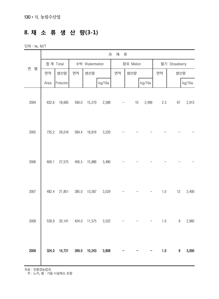## **8. 채 소 류 생 산 량(3-1)**

단위 : ㏊, M/T

|        |       |            |       |               | 과      | 채  | 류        |                          |         |                  |        |
|--------|-------|------------|-------|---------------|--------|----|----------|--------------------------|---------|------------------|--------|
|        |       | 합계 Total   |       | 수박 Watermelon |        |    | 참외 Melon |                          |         | 딸기 Strawberry    |        |
| 연<br>별 | 면적    | 생산량        | 면적    | 생산량           |        | 면적 | 생산량      |                          | 면적      | 생산량              |        |
|        | Area  | Production |       |               | kg/10a |    |          | kg/10a                   |         |                  | kg/10a |
| 2004   | 632.6 | 18,685     | 590.0 | 15,270        | 2,588  | -  | 10       | 2,499                    | 2.3     | 67               | 2,913  |
| 2005   | 735.2 | 29,016     | 584.4 | 18,816        | 3,220  |    |          |                          |         |                  |        |
| 2006   | 600.1 | 27,575     | 456.5 | 15,886        | 3,480  |    |          |                          |         |                  |        |
| 2007   | 482.4 | 21,851     | 385.0 | 13,587        | 3,529  |    |          | $\qquad \qquad -$        | $1.0\,$ | 12               | 2,400  |
| 2008   | 538.9 | 20,141     | 424.0 | 11,575        | 3,522  |    |          | $\overline{\phantom{a}}$ | $1.0$   | $\boldsymbol{9}$ | 2,960  |
| 2009   | 324.0 | 14,721     | 269.0 | 10,243        | 3,808  |    |          |                          | $1.0\,$ | 9                | 3,000  |

자료 : 친환경농업과

주 : 노지, 봄·가을 시설채소 포함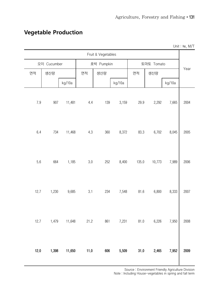|         |             |        |         |                    |        |          |            |        | Unit: ha, M/T |
|---------|-------------|--------|---------|--------------------|--------|----------|------------|--------|---------------|
|         |             |        |         | Fruit & Vegetables |        |          |            |        |               |
|         | 오이 Cucumber |        |         | 호박 Pumpkin         |        |          | 토마토 Tomato |        |               |
| 면적      | 생산량         |        | 면적      | 생산량                |        | 면적       | 생산량        |        | Year          |
|         |             | kg/10a |         |                    | kg/10a |          |            | kg/10a |               |
| $7.9\,$ | 907         | 11,481 | 4.4     | 139                | 3,159  | 29.9     | 2,292      | 7,665  | 2004          |
| 6.4     | 734         | 11,468 | 4.3     | 360                | 8,372  | 83.3     | 6,702      | 8,045  | 2005          |
| 5.6     | 664         | 1,185  | $3.0\,$ | 252                | 8,400  | 135.0    | 10,773     | 7,989  | 2006          |
| 12.7    | 1,230       | 9,685  | 3.1     | 234                | 7,548  | 81.6     | 6,800      | 8,333  | 2007          |
| 12.7    | 1,479       | 11,648 | 21.2    | 861                | 7,231  | 81.0     | 6,226      | 7,950  | 2008          |
| 12.0    | 1,398       | 11,650 | 11.0    | 606                | 5,509  | $31.0\,$ | 2,465      | 7,952  | 2009          |

## **Vegetable Production**

Source : Environment Friendly Agriculture Division

Note : Including House-vegetables in spring and fall term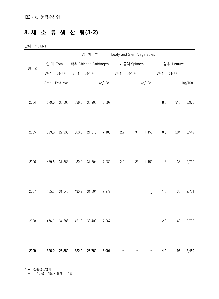## **8. 채 소 류 생 산 량(3-2)**

단위 : ㏊, M/T

|        |       |            |       | 엽<br>채 류            |        |     |             | Leafy and Stem Vegetables |                    |            |        |
|--------|-------|------------|-------|---------------------|--------|-----|-------------|---------------------------|--------------------|------------|--------|
|        |       | 합계 Total   |       | 배추 Chinese Cabbages |        |     | 시금치 Spinach |                           |                    | 상추 Lettuce |        |
| 별<br>연 | 면적    | 생산량        | 면적    | 생산량                 |        | 면적  | 생산량         |                           | 면적                 | 생산량        |        |
|        | Area  | Production |       |                     | kg/10a |     |             | kg/10a                    |                    |            | kg/10a |
| 2004   | 579.0 | 38,503     | 536.0 | 35,908              | 6,699  |     |             |                           | $\boldsymbol{8.0}$ | 318        | 3,975  |
| 2005   | 329.8 | 22,936     | 303.6 | 21,813              | 7,185  | 2.7 | 31          | 1,150                     | 8.3                | 294        | 3,542  |
| 2006   | 439.6 | 31,363     | 430.0 | 31,304              | 7,280  | 2.0 | 23          | 1,150                     | 1.3                | $36\,$     | 2,730  |
| 2007   | 435.5 | 31,540     | 430.2 | 31,304              | 7,277  |     |             |                           | 1.3                | 36         | 2,731  |
| 2008   | 476.0 | 34,686     | 451.0 | 33,403              | 7,267  |     |             |                           | 2.0                | 49         | 2,733  |
| 2009   | 326.0 | 25,860     |       | 322.0 25,762        | 8,001  |     |             |                           | 4.0                | 98         | 2,450  |

자료 : 친환경농업과

주 : 노지, 봄·가을 시설채소 포함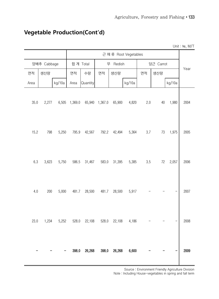| Unit: ha, M/T |        |           |         |                      |          |         |          |         |        |             |      |
|---------------|--------|-----------|---------|----------------------|----------|---------|----------|---------|--------|-------------|------|
|               |        |           |         | 근 채류 Root Vegetables |          |         |          |         |        |             |      |
| Year          |        | 당근 Carrot |         |                      | 무 Redish |         | 합계 Total |         |        | 양배추 Cabbage |      |
|               |        | 생산량       | 면적      |                      | 생산량      | 면적      | 수량       | 면적      |        | 생산량         | 면적   |
|               | kg/10a |           |         | kg/10a               |          |         | Quantity | Area    | kg/10a |             | Area |
| 2004          | 1,980  | 40        | 2.0     | 4,820                | 65,900   | 1,367.0 | 65,940   | 1,369.0 | 6,505  | 2,277       | 35.0 |
| 2005          | 1,975  | 73        | $3.7\,$ | 5,364                | 42,494   | 792.2   | 42,567   | 795.9   | 5,250  | 798         | 15.2 |
| 2006          | 2,057  | 72        | 3.5     | 5,385                | 31,395   | 583.0   | 31,467   | 586.5   | 5,750  | 3,623       | 6.3  |
| 2007          |        |           |         | 5,917                | 28,500   | 481.7   | 28,500   | 481.7   | 5,000  | 200         | 4.0  |
| 2008          |        |           |         | 4,186                | 22,108   | 528.0   | 22,108   | 528.0   | 5,252  | 1,234       | 23.0 |
| 2009          |        |           |         | 6,600                | 26,268   | 398.0   | 26,268   | 398.0   |        |             |      |

## **Vegetable Production(Cont'd)**

Source : Environment Friendly Agriculture Division

Note : Including House-vegetables in spring and fall term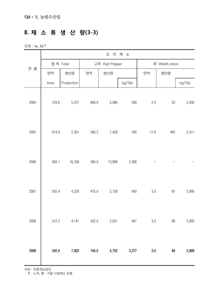## **8. 채 소 류 생 산 량(3-3)**

단위 : ㏊, M/T

|      | 조 미 채 소 |            |               |        |        |               |        |        |  |  |  |
|------|---------|------------|---------------|--------|--------|---------------|--------|--------|--|--|--|
|      |         | 합계 Total   | 고추 Red Pepper |        |        | 파 Welsh onion |        |        |  |  |  |
| 연 별  | 면적      | 생산량        | 면적            | 생산량    |        | 면적            | 생산량    |        |  |  |  |
|      | Area    | Production |               |        | kg/10a |               |        | kg/10a |  |  |  |
| 2004 | 723.6   | 5,237      | 606.0         | 3,086  | 509    | 2.0           | 53     | 2,650  |  |  |  |
| 2005 | 614.9   | 2,301      | 583.2         | 1,428  | 245    | 17.6          | 442    | 2,511  |  |  |  |
| 2006 | 693.1   | 16,336     | 584.0         | 13,899 | 2,380  |               |        |        |  |  |  |
| 2007 | 555.4   | 4,230      | 475.0         | 2,138  | 450    | 3.0           | $87\,$ | 2,900  |  |  |  |
| 2008 | 512.2   | 4,141      | 432.0         | 2,021  | 461    | 3.0           | 89     | 2,902  |  |  |  |
| 2009 | 242.0   | 7,923      | 145.0         | 4,752  | 3,277  | $3.0\,$       | 84     | 2,800  |  |  |  |

자료 : 친환경농업과

주 : 노지, 봄·가을 시설채소 포함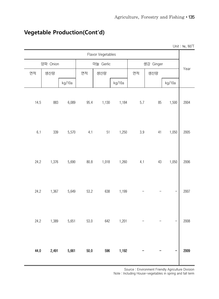| Unit: ha, M/T |        |           |         |        |                   |          |        |          |         |
|---------------|--------|-----------|---------|--------|-------------------|----------|--------|----------|---------|
|               |        |           |         |        | Flavor Vegetables |          |        |          |         |
|               |        | 생강 Ginger |         |        | 마늘 Gerlic         |          |        | 양파 Onion |         |
| Year          |        | 생산량       | 면적      |        | 생산량               | 면적       |        | 생산량      | 면적      |
|               | kg/10a |           |         | kg/10a |                   |          | kg/10a |          |         |
| 2004          | 1,500  | 85        | 5.7     | 1,184  | 1,130             | 95.4     | 6,089  | 883      | 14.5    |
| 2005          | 1,050  | 41        | $3.9\,$ | 1,250  | $51\,$            | 4.1      | 5,570  | 339      | $6.1\,$ |
| 2006          | 1,050  | $43\,$    | 4.1     | 1,260  | 1,018             | $80.8\,$ | 5,690  | 1,376    | 24.2    |
| 2007          |        |           |         | 1,199  | 638               | 53.2     | 5,649  | 1,367    | 24.2    |
| 2008          |        |           |         | 1,201  | 642               | 53.0     | 5,651  | 1,389    | 24.2    |
| 2009          |        |           |         | 1,192  | 596               | $50.0$   | 5,661  | 2,491    | 44.0    |

## **Vegetable Production(Cont'd)**

Source : Environment Friendly Agriculture Division

Note : Including House-vegetables in spring and fall term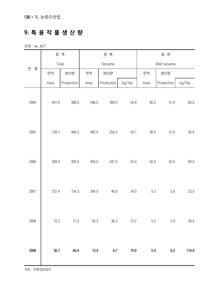## **9. 특 용 작 물 생 산 량**

단위 : ㏊, M/T

|        | 합 계   |            |        | 참 깨        |        |          | 들 깨         |        |  |
|--------|-------|------------|--------|------------|--------|----------|-------------|--------|--|
|        |       | Total      |        | Sesame     |        |          | Wild sesame |        |  |
| 연<br>별 | 면적    | 생산량        | 면적     | 생산량        |        | 면적       | 생산량         |        |  |
|        | Area  | Production | Area   | Production | kg/10a | Area     | Production  | kg/10a |  |
| 2004   | 641.0 | 388.0      | 546.0  | 300.0      | 54.9   | 85.0     | 51.0        | 60.0   |  |
| 2005   | 739.7 | 490.2      | 462.0  | 250.0      | 54.1   | $90.0\,$ | 51.0        | 56.6   |  |
| 2006   | 639.9 | 425.9      | 450.0  | 247.0      | 55.0   | 92.0     | 55.0        | 60.0   |  |
| 2007   | 227.4 | 154.3      | 204.0  | 49.8       | 24.0   | 5.3      | 2.8         | 53.0   |  |
| 2008   | 72.3  | 71.0       | $50.5$ | 36.3       | 72.2   | $5.0\,$  | 2.9         | 58.0   |  |
| 2009   | 35.7  | 65.6       | $13.0$ | 9.7        | 74.0   | 5.4      | 6.2         | 114.6  |  |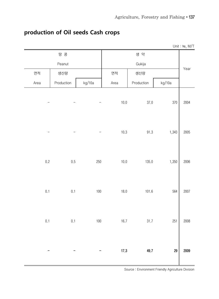|      |         |            |         |        |            |        | Unit: ha, M/T |
|------|---------|------------|---------|--------|------------|--------|---------------|
|      |         | 땅 콩        |         |        | 생 약        |        |               |
|      |         | Peanut     |         |        | Gukija     |        | Year          |
| 면적   |         | 생산량        |         | 면적     | 생산량        |        |               |
| Area |         | Production | kg/10a  | Area   | Production | kg/10a |               |
|      |         |            | -       | 10.0   | 37.0       | 370    | 2004          |
|      |         |            | —       | 10.3   | 91.3       | 1,343  | 2005          |
|      | $0.2\,$ | 0.5        | 250     | 10.0   | 135.0      | 1,350  | 2006          |
|      | 0.1     | 0.1        | $100\,$ | $18.0$ | 101.6      | 564    | 2007          |
|      | $0.1\,$ | $0.1\,$    | $100\,$ | 16.7   | 31.7       | 251    | 2008          |
|      |         |            |         | 17.3   | 49.7       | 29     | 2009          |

## **production of Oil seeds Cash crops**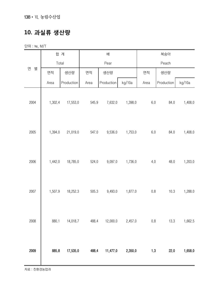138•Ⅵ. 농림수산업

## **10. 과실류 생산량**

단위 : ㏊, M/T

|        |         | 합 계        | 배<br>복숭아 |            |         |         |            |         |
|--------|---------|------------|----------|------------|---------|---------|------------|---------|
|        |         | Total      |          | Pear       |         |         | Peach      |         |
| 연<br>별 | 면적      | 생산량        | 면적       | 생산량        |         | 면적      | 생산량        |         |
|        | Area    | Production | Area     | Production | kg/10a  | Area    | Production | kg/10a  |
| 2004   | 1,302.4 | 17,553.0   | 545.9    | 7,632.0    | 1,398.0 | $6.0\,$ | 84.0       | 1,408.0 |
| 2005   | 1,394.0 | 21,019.0   | 547.0    | 9,536.0    | 1,753.0 | $6.0\,$ | 84.0       | 1,408.0 |
| 2006   | 1,442.0 | 18,785.0   | 524.0    | 9,097.0    | 1,736.0 | 4.0     | 48.0       | 1,203.0 |
| 2007   | 1,507.9 | 18,252.3   | 505.3    | 9,493.0    | 1,877.0 | $0.8\,$ | 10.3       | 1,288.0 |
| 2008   | 880.1   | 14,018.7   | 488.4    | 12,000.0   | 2,457.0 | $0.8\,$ | 13.3       | 1,662.5 |
| 2009   | 885.8   | 17,535.0   | 488.4    | 11,477.0   | 2,350.0 | 1.3     | 22.0       | 1,658.0 |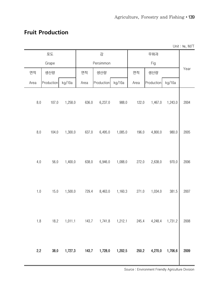#### **Fruit Production**

|      |            |         |       |            |         |       |            |         | Unit: ha, M/T |
|------|------------|---------|-------|------------|---------|-------|------------|---------|---------------|
|      | 포도         |         |       | 감          |         |       | 무화과        |         |               |
|      | Grape      |         |       | Persimmon  |         |       | Fig        |         |               |
| 면적   | 생산량        |         | 면적    | 생산량        |         | 면적    | 생산량        |         | Year          |
| Area | Production | kg/10a  | Area  | Production | kg/10a  | Area  | Production | kg/10a  |               |
| 8.0  | 107.0      | 1,258.0 | 636.0 | 6,237.0    | 988.0   | 122.0 | 1,467.0    | 1,243.0 | 2004          |
| 8.0  | 104.0      | 1,300.0 | 637.0 | 6,495.0    | 1,085.0 | 196.0 | 4,800.0    | 980.0   | 2005          |
| 4.0  | 56.0       | 1,400.0 | 638.0 | 6,946.0    | 1,088.0 | 272.0 | 2,638.0    | 970.0   | 2006          |
| 1.0  | 15.0       | 1,500.0 | 729.4 | 8,463.0    | 1,160.3 | 271.0 | 1,034.0    | 381.5   | 2007          |
| 1.8  | 18.2       | 1,011.1 | 143.7 | 1,741.8    | 1,212.1 | 245.4 | 4,248.4    | 1,731.2 | 2008          |
| 2.2  | 38.0       | 1,727.3 | 143.7 | 1,728.0    | 1,202.5 | 250.2 | 4,270.0    | 1,706.6 | 2009          |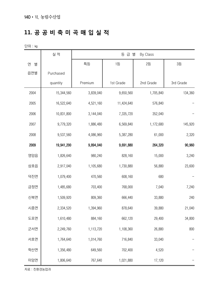## **11. 공 공 비 축 미 곡 매 입 실 적**

단위 : ㎏

|        | 실 적        | 등 급 별<br>By Class |            |                 |                 |  |  |
|--------|------------|-------------------|------------|-----------------|-----------------|--|--|
| 연<br>별 |            | 특등                | 1등         | $2\overline{5}$ | $3\overline{5}$ |  |  |
| 읍면별    | Purchased  |                   |            |                 |                 |  |  |
|        | quantity   | Premium           | 1st Grade  | 2nd Grade       | 3rd Grade       |  |  |
| 2004   | 15,344,560 | 3,839,040         | 9,650,560  | 1,705,840       | 134,360         |  |  |
| 2005   | 16,522,640 | 4,521,160         | 11,424,640 | 576,840         |                 |  |  |
| 2006   | 10,831,800 | 3,144,040         | 7,335,720  | 352,040         |                 |  |  |
| 2007   | 9,779,320  | 1,886,480         | 6,569,840  | 1,172,680       | 145,920         |  |  |
| 2008   | 9,537,560  | 4,086,960         | 5,387,280  | 61,000          | 2,320           |  |  |
| 2009   | 19,941,200 | 9,894,040         | 9,691,880  | 264,320         | 90,960          |  |  |
| 영암읍    | 1,826,640  | 980,240           | 828,160    | 15,000          | 3,240           |  |  |
| 삼호읍    | 2,917,040  | 1,105,680         | 1,730,880  | 56,880          | 23,600          |  |  |
| 덕진면    | 1,079,400  | 470,560           | 608,160    | 680             |                 |  |  |
| 금정면    | 1,485,680  | 703,400           | 768,000    | 7,040           | 7,240           |  |  |
| 신북면    | 1,509,920  | 809,360           | 666,440    | 33,880          | 240             |  |  |
| 시종면    | 2,334,520  | 1,394,960         | 878,640    | 39,880          | 21,040          |  |  |
| 도포면    | 1,610,480  | 884,160           | 662,120    | 29,400          | 34,800          |  |  |
| 군서면    | 2,249,760  | 1,113,720         | 1,108,360  | 26,880          | 800             |  |  |
| 서호면    | 1,764,640  | 1,014,760         | 716,840    | 33,040          |                 |  |  |
| 학산면    | 1,356,480  | 649,560           | 702,400    | 4,520           |                 |  |  |
| 미암면    | 1,806,640  | 767,640           | 1,021,880  | 17,120          |                 |  |  |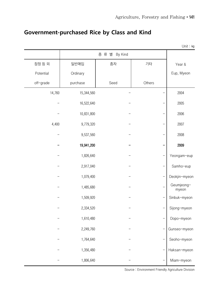|           |            |                  |        | Unit: kg            |
|-----------|------------|------------------|--------|---------------------|
|           |            | 종 류 별<br>By Kind |        |                     |
| 잠정 등 외    | 일반매입       | 종자               | 기타     | Year &              |
| Potential | Ordinary   |                  |        | Eup, Myeon          |
| off-grade | purchase   | Seed             | Others |                     |
| 14,760    | 15,344,560 |                  |        | 2004                |
|           | 16,522,640 |                  |        | 2005                |
|           | 10,831,800 |                  |        | 2006                |
| 4,400     | 9,779,320  |                  |        | 2007                |
|           | 9,537,560  |                  |        | 2008                |
|           | 19,941,200 |                  |        | 2009                |
|           | 1,826,640  |                  |        | Yeongam-eup         |
|           | 2,917,040  |                  |        | Samho-eup           |
|           | 1,079,400  |                  |        | Deokjin-myeon       |
|           | 1,485,680  |                  |        | Geumjeong-<br>myeon |
|           | 1,509,920  |                  | —      | Sinbuk-myeon        |
|           | 2,334,520  |                  |        | Sijong-myeon        |
|           | 1,610,480  |                  |        | Dopo-myeon          |
|           | 2,249,760  |                  |        | Gunseo-myeon        |
|           | 1,764,640  |                  |        | Seoho-myeon         |
|           | 1,356,480  |                  |        | Haksan-myeon        |
|           | 1,806,640  |                  |        | Miam-myeon          |

## **Government-purchased Rice by Class and Kind**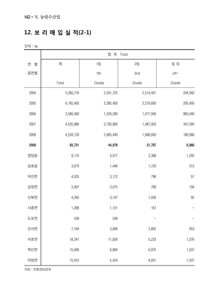## **12. 보 리 매 입 실 적(2-1)**

단위 : ㎏

|        |           | 합 계 Total       |                 |         |
|--------|-----------|-----------------|-----------------|---------|
| 연<br>별 | 계         | $1\overline{5}$ | $2\overline{5}$ | 등 외     |
| 읍면별    |           | 1th             | 2nd             | $of f-$ |
|        | Total     | Grade           | Grade           | Grade   |
| 2004   | 5,260,716 | 2,541,725       | 2,514,431       | 204,560 |
| 2005   | 6,165,400 | 3,385,400       | 2,579,600       | 200,400 |
| 2006   | 3,566,360 | 1,224,280       | 1,477,040       | 865,040 |
| 2007   | 4,535,880 | 2,700,960       | 1,487,920       | 347,000 |
| 2008   | 4,534,120 | 2,685,440       | 1,668,600       | 180,080 |
| 2009   | 83,731    | 44,978          | 31,787          | 6,966   |
| 영암읍    | 9,110     | 4,477           | 3,388           | 1,245   |
| 삼호읍    | 3,679     | 1,446           | 1,720           | 513     |
| 덕진면    | 4,025     | 3,172           | 796             | 57      |
| 금정면    | 3,997     | 3,075           | 766             | 156     |
| 신북면    | 4,265     | 3,147           | 1,026           | 92      |
| 시종면    | 1,288     | 1,121           | 167             |         |
| 도포면    | 538       | 538             |                 |         |
| 군서면    | 7,164     | 3,846           | 2,665           | 653     |
| 서호면    | 18,347    | 11,838          | 5,233           | 1,276   |
| 학산면    | 15,406    | 6,894           | 6,975           | 1,537   |
| 미암면    | 15,912    | 5,424           | 9,051           | 1,437   |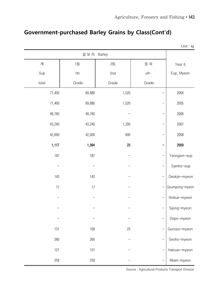|        |                 |                 |        | Unit: kg        |
|--------|-----------------|-----------------|--------|-----------------|
|        | 겉 보 리 Barley    |                 |        |                 |
| 계      | $1\overline{5}$ | $2\overline{5}$ | 등 외    | Year &          |
| Sub    | 1th             | 2nd             | $off-$ | Eup, Myeon      |
| total  | Grade           | Grade           | Grade  |                 |
| 71,400 | 69,880          | 1,520           |        | 2004            |
| 71,400 | 69,880          | 1,520           |        | 2005            |
| 49,760 | 49,760          |                 |        | 2006            |
| 43,240 | 43,240          | 1,200           |        | 2007            |
| 42,600 | 42,000          | 600             |        | 2008            |
| 1,117  | 1,094           | 23              |        | 2009            |
| 187    | 187             |                 |        | Yeongam-eup     |
|        |                 |                 |        | Samho-eup       |
| 143    | 143             |                 |        | Deokjin-myeon   |
| 17     | 17              |                 |        | Geumjeong-myeon |
|        |                 |                 |        | Sinbuk-myeon    |
|        |                 |                 |        | Sijong-myeon    |
|        |                 |                 |        | Dopo-myeon      |
| 131    | 108             | 23              |        | Gunseo-myeon    |
| 260    | 260             |                 |        | Seoho-myeon     |
| 121    | 121             |                 |        | Haksan-myeon    |
| 258    | 258             |                 |        | Miam-myeon      |

## **Government-purchased Barley Grains by Class(Cont'd)**

Source : Agricultural Products Transport Division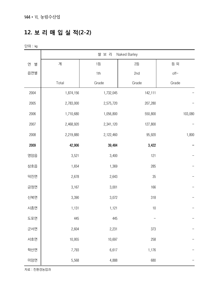## **12. 보 리 매 입 실 적(2-2)**

단위 : ㎏

|        | 쌀 보 리<br>Naked Barley |                 |                 |         |  |  |  |
|--------|-----------------------|-----------------|-----------------|---------|--|--|--|
| 연<br>별 | 계                     | $1\overline{5}$ | $2\overline{5}$ | 등 외     |  |  |  |
| 읍면별    |                       | 1th             | 2nd             | $of f-$ |  |  |  |
|        | Total                 | Grade           | Grade           | Grade   |  |  |  |
| 2004   | 1,874,156             | 1,732,045       | 142,111         |         |  |  |  |
| 2005   | 2,783,000             | 2,575,720       | 207,280         |         |  |  |  |
| 2006   | 1,710,680             | 1,056,800       | 550,800         | 103,080 |  |  |  |
| 2007   | 2,468,920             | 2,341,120       | 127,800         |         |  |  |  |
| 2008   | 2,219,880             | 2,122,460       | 95,920          | 1,800   |  |  |  |
| 2009   | 42,906                | 39,484          | 3,422           |         |  |  |  |
| 영암읍    | 3,521                 | 3,400           | 121             |         |  |  |  |
| 삼호읍    | 1,654                 | 1,369           | 285             |         |  |  |  |
| 덕진면    | 2,678                 | 2,643           | 35              |         |  |  |  |
| 금정면    | 3,167                 | 3,001           | 166             |         |  |  |  |
| 신북면    | 3,390                 | 3,072           | 318             |         |  |  |  |
| 시종면    | 1,131                 | 1,121           | 10              |         |  |  |  |
| 도포면    | 445                   | 445             |                 |         |  |  |  |
| 군서면    | 2,604                 | 2,231           | 373             |         |  |  |  |
| 서호면    | 10,955                | 10,697          | 258             |         |  |  |  |
| 학산면    | 7,793                 | 6,617           | 1,176           |         |  |  |  |
| 미암면    | 5,568                 | 4,888           | 680             |         |  |  |  |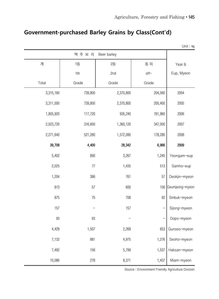## **Government-purchased Barley Grains by Class(Cont'd)**

|           |                 |                 |         | Unit: kg        |
|-----------|-----------------|-----------------|---------|-----------------|
|           | 맥 주 보 리         | Beer barley     |         |                 |
| 계         | $1\overline{5}$ | $2\overline{5}$ | 등 외     | Year &          |
|           | 1th             | 2nd             | $of f-$ | Eup, Myeon      |
| Total     | Grade           | Grade           | Grade   |                 |
| 3,315,160 | 739,800         | 2,370,800       | 204,560 | 2004            |
| 3,311,000 | 739,800         | 2,370,800       | 200,400 | 2005            |
| 1,805,920 | 117,720         | 926,240         | 761,960 | 2006            |
| 2,023,720 | 316,600         | 1,360,120       | 347,000 | 2007            |
| 2,271,640 | 521,280         | 1,572,080       | 178,280 | 2008            |
| 39,708    | 4,400           | 28,342          | 6,966   | 2009            |
| 5,402     | 890             | 3,267           | 1,245   | Yeongam-eup     |
| 2,025     | 77              | 1,435           | 513     | Samho-eup       |
| 1,204     | 386             | 761             | 57      | Deokjin-myeon   |
| 813       | 57              | 600             | 156     | Geumjeong-myeon |
| 875       | 75              | 708             | 92      | Sinbuk-myeon    |
| 157       |                 | 157             |         | Sijong-myeon    |
| 93        | 93              |                 |         | Dopo-myeon      |
| 4,429     | 1,507           | 2,269           | 653     | Gunseo-myeon    |
| 7,132     | 881             | 4,975           | 1,276   | Seoho-myeon     |
| 7,492     | 156             | 5,799           | 1,537   | Haksan-myeon    |
| 10,086    | 278             | 8,371           | 1,437   | Miam-myeon      |

Source : Environment Friendly Agriculture Division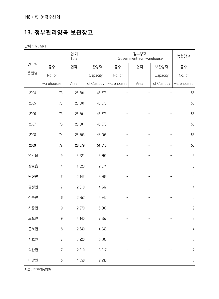#### **13. 정부관리양곡 보관창고**

단위 : ㎡, M/T

|        | 합계<br>Total      |        |            |            | Government-run warehouse | 농협창고       |                  |
|--------|------------------|--------|------------|------------|--------------------------|------------|------------------|
| 연<br>별 | 동수               | 면적     | 보관능력       | 동수         | 면적                       | 보관능력       | 동수               |
| 읍면별    | No. of           |        | Capacity   | No. of     |                          | Capacity   | No. of           |
|        | warehouses       | Area   | of Custody | warehouses | Area                     | of Custody | warehouses       |
| 2004   | $73\,$           | 25,801 | 45,573     |            |                          |            | 55               |
| 2005   | $73\,$           | 25,801 | 45,573     |            |                          |            | 55               |
| 2006   | 73               | 25,801 | 45,573     |            |                          |            | 55               |
| 2007   | 73               | 25,801 | 45,573     |            |                          |            | 55               |
| 2008   | 74               | 26,703 | 48,005     |            |                          |            | 55               |
| 2009   | $77\,$           | 28,579 | 51,818     |            |                          |            | 56               |
| 영암읍    | $\boldsymbol{9}$ | 3,521  | 6,391      |            |                          |            | $\sqrt{5}$       |
| 삼호읍    | 4                | 1,320  | 2,374      |            |                          |            | $\sqrt{3}$       |
| 덕진면    | $\,6\,$          | 2,146  | 3,706      |            |                          |            | $\sqrt{5}$       |
| 금정면    | $\sqrt{ }$       | 2,310  | 4,247      |            |                          |            | $\sqrt{4}$       |
| 신북면    | $\boldsymbol{6}$ | 2,352  | 4,342      |            |                          |            | $\mathbf 5$      |
| 시종면    | $\boldsymbol{9}$ | 2,970  | 5,306      |            |                          |            | $\boldsymbol{9}$ |
| 도포면    | $\boldsymbol{9}$ | 4,140  | 7,857      |            |                          |            | $\sqrt{3}$       |
| 군서면    | 8                | 2,640  | 4,948      |            |                          |            | $\overline{4}$   |
| 서호면    | $\overline{7}$   | 3,220  | 5,800      |            |                          |            | $\,6\,$          |
| 학산면    | $\overline{7}$   | 2,310  | 3,917      |            |                          |            | $\boldsymbol{7}$ |
| 미암면    | 5                | 1,650  | 2,930      |            |                          |            | $\sqrt{5}$       |

자료 : 친환경농업과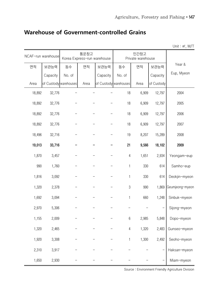|        |                       |        |                                     |          |                       |                           |            | Unit: m <sup>2</sup> , M/T |
|--------|-----------------------|--------|-------------------------------------|----------|-----------------------|---------------------------|------------|----------------------------|
|        | NCAF-run warehouse    |        | 통운창고<br>Korea Express-run warehouse |          |                       | 민간창고<br>Private warehouse |            |                            |
| 면적     | 보관능력                  | 동수     | 면적                                  | 보관능력     | 동수                    | 면적                        | 보관능력       | Year &                     |
|        | Capacity              | No. of |                                     | Capacity | No. of                |                           | Capacity   | Eup, Myeon                 |
| Area   | of Custody warehouses |        | Area                                |          | of Custody warehouses | Area                      | of Custody |                            |
| 18,892 | 32,776                |        |                                     |          | 18                    | 6,909                     | 12,797     | 2004                       |
| 18,892 | 32,776                |        |                                     |          | 18                    | 6,909                     | 12,797     | 2005                       |
| 18,892 | 32,776                |        |                                     |          | 18                    | 6,909                     | 12,797     | 2006                       |
| 18,892 | 32,776                |        |                                     |          | 18                    | 6,909                     | 12,797     | 2007                       |
| 18,496 | 32,716                |        |                                     |          | 19                    | 8,207                     | 15,289     | 2008                       |
| 19,013 | 33,716                |        |                                     |          | 21                    | 9,566                     | 18,102     | 2009                       |
| 1,870  | 3,457                 |        |                                     |          | $\overline{4}$        | 1,651                     | 2,934      | Yeongam-eup                |
| 990    | 1,760                 |        |                                     |          | 1                     | 330                       | 614        | Samho-eup                  |
| 1,816  | 3,092                 |        |                                     |          | 1                     | 330                       | 614        | Deokjin-myeon              |
| 1,320  | 2,378                 |        |                                     |          | $\sqrt{3}$            | 990                       | 1,869      | Geumjeong-myeon            |
| 1,692  | 3,094                 |        |                                     |          | 1                     | 660                       | 1,248      | Sinbuk-myeon               |
| 2,970  | 5,306                 |        |                                     |          |                       |                           |            | Sijong-myeon               |
| 1,155  | 2,009                 |        |                                     |          | $6\,$                 | 2,985                     | 5,848      | Dopo-myeon                 |
| 1,320  | 2,465                 |        |                                     |          | $\overline{4}$        | 1,320                     | 2,483      | Gunseo-myeon               |
| 1,920  | 3,308                 |        |                                     |          | $\mathbf{1}$          | 1,300                     | 2,492      | Seoho-myeon                |
| 2,310  | 3,917                 |        |                                     |          |                       |                           |            | Haksan-myeon               |
| 1,650  | 2,930                 |        |                                     |          |                       |                           |            | Miam-myeon                 |

#### **Warehouse of Government-controlled Grains**

Source : Environment Friendly Agriculture Division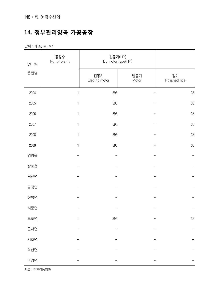## **14. 정부관리양곡 가공공장**

단위 : 개소, ㎡, M/T

| 연<br>별 | 공장수<br>No. of plants | 원동기(HP)<br>By motor type(HP) |              |                     |
|--------|----------------------|------------------------------|--------------|---------------------|
| 읍면별    |                      | 전동기<br>Electric motor        | 발동기<br>Motor | 정미<br>Polished rice |
| 2004   | $\mathbbm{1}$        | 595                          |              | 36                  |
| 2005   | $\mathbf{1}$         | 595                          |              | 36                  |
| 2006   | $\mathbf{1}$         | 595                          |              | 36                  |
| 2007   | $\mathbf{1}$         | 595                          |              | 36                  |
| 2008   | $\mathbf{1}$         | 595                          |              | $36\,$              |
| 2009   | $\mathbf{1}$         | 595                          |              | 36                  |
| 영암읍    |                      |                              |              |                     |
| 삼호읍    |                      |                              |              |                     |
| 덕진면    |                      |                              |              |                     |
| 금정면    |                      |                              |              |                     |
| 신북면    |                      |                              |              |                     |
| 시종면    |                      |                              |              |                     |
| 도포면    | $\mathbf{1}$         | 595                          |              | 36                  |
| 군서면    |                      |                              |              |                     |
| 서호면    |                      |                              |              |                     |
| 학산면    |                      |                              |              |                     |
| 미암면    |                      |                              |              |                     |

자료 : 친환경농업과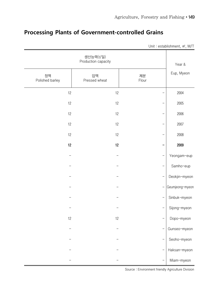|                       |                                  |                          | Unit: establishment, m <sup>2</sup> , M/T |
|-----------------------|----------------------------------|--------------------------|-------------------------------------------|
|                       | 생산능력(t/일)<br>Production capacity |                          | Year &                                    |
| 정맥<br>Polished barley | 압맥<br>Pressed wheat              | 제분<br>Flour              | Eup, Myeon                                |
| 12                    | 12                               |                          | 2004                                      |
| 12                    | 12                               |                          | 2005                                      |
| 12                    | 12                               |                          | 2006                                      |
| 12                    | 12                               |                          | 2007                                      |
| 12                    | 12                               |                          | 2008                                      |
| 12                    | 12                               |                          | 2009                                      |
|                       |                                  |                          | Yeongam-eup                               |
|                       |                                  |                          | Samho-eup                                 |
|                       |                                  |                          | Deokjin-myeon                             |
|                       |                                  | -                        | Geumjeong-myeon                           |
|                       |                                  | $\overline{\phantom{0}}$ | Sinbuk-myeon                              |
|                       |                                  |                          | Sijong-myeon                              |
| 12                    | 12                               |                          | Dopo-myeon                                |
|                       |                                  |                          | Gunseo-myeon                              |
|                       |                                  |                          | Seoho-myeon                               |
|                       |                                  |                          | Haksan-myeon                              |
|                       |                                  |                          | Miam-myeon                                |

## **Processing Plants of Government-controlled Grains**

Source : Environment friendly Agriculture Division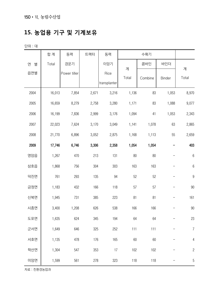## **15. 농업용 기구 및 기계보유**

단위 : 대

|        | 합 계    | 동력           | 트랙터   | 동력           | 수확기        |         |        |                  |
|--------|--------|--------------|-------|--------------|------------|---------|--------|------------------|
| 연<br>별 | Total  | 경운기          |       | 이앙기          |            | 콤바인     | 바인더    |                  |
| 읍면별    |        | Power tiller |       | Rice         | 계<br>Total | Combine |        | 계<br>Total       |
|        |        |              |       | transplanter |            |         | Binder |                  |
| 2004   | 16,013 | 7,854        | 2,671 | 3,216        | 1,136      | 83      | 1,053  | 8,970            |
| 2005   | 16,659 | 8,279        | 2,758 | 3,280        | 1,171      | 83      | 1,088  | 9,077            |
| 2006   | 16,199 | 7,836        | 2,999 | 3,176        | 1,094      | 41      | 1,053  | 2,343            |
| 2007   | 22,023 | 7,624        | 3,170 | 3,049        | 1,141      | 1,078   | 63     | 2,865            |
| 2008   | 21,770 | 6,896        | 3,052 | 2,875        | 1,168      | 1,113   | 55     | 2,659            |
| 2009   | 17,746 | 6,746        | 3,306 | 2,358        | 1,054      | 1,054   | -      | 403              |
| 영암읍    | 1,267  | 470          | 213   | 131          | 80         | 80      |        | $\boldsymbol{6}$ |
| 삼호읍    | 1,868  | 756          | 304   | 303          | 163        | 163     |        | $\,6\,$          |
| 덕진면    | 761    | 293          | 135   | 94           | 52         | 52      |        | $\boldsymbol{9}$ |
| 금정면    | 1,183  | 432          | 166   | 118          | 57         | 57      |        | 90               |
| 신북면    | 1,945  | 731          | 385   | 223          | 81         | 81      | —      | 161              |
| 시종면    | 3,400  | 1,208        | 626   | 538          | 166        | 166     | -      | 90               |
| 도포면    | 1,635  | 624          | 345   | 194          | 64         | 64      |        | 23               |
| 군서면    | 1,649  | 646          | 325   | 252          | 111        | 111     |        | $\overline{7}$   |
| 서호면    | 1,135  | 478          | 176   | 165          | 60         | 60      |        | $\overline{4}$   |
| 학산면    | 1,304  | 547          | 353   | 17           | 102        | 102     |        | $\sqrt{2}$       |
| 미암면    | 1,599  | 561          | 278   | 323          | 118        | 118     |        | $\sqrt{5}$       |

자료 : 친환경농업과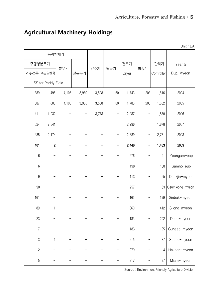Unit : EA

|                  | 동력방제기              |       |       |       |                   |       |     |            |                 |
|------------------|--------------------|-------|-------|-------|-------------------|-------|-----|------------|-----------------|
|                  | 주행형분무기             |       |       |       |                   | 건조기   |     | 관리기        | Year &          |
| 과수전용             | │수도일반형             | 분무기   | 살분무기  | 양수기   | 탈곡기               | Dryer | 파종기 | Controller | Eup, Myeon      |
|                  | SS for Paddy Field |       |       |       |                   |       |     |            |                 |
| 389              | 496                | 4,105 | 3,980 | 3,508 | 60                | 1,743 | 203 | 1,616      | 2004            |
| 387              | 600                | 4,105 | 3,985 | 3,508 | 60                | 1,783 | 203 | 1,682      | 2005            |
| 411              | 1,932              |       | —     | 3,778 | $\qquad \qquad -$ | 2,287 | —   | 1,870      | 2006            |
| 524              | 2,341              |       |       |       |                   | 2,296 |     | 1,878      | 2007            |
| 485              | 2,174              |       |       |       |                   | 2,389 |     | 2,731      | 2008            |
| 401              | $\sqrt{2}$         |       |       |       |                   | 2,446 |     | 1,433      | 2009            |
| $6\,$            |                    |       |       |       |                   | 276   |     | 91         | Yeongam-eup     |
| $\,6\,$          |                    |       |       |       |                   | 198   |     | 138        | Samho-eup       |
| $\boldsymbol{9}$ |                    |       |       |       |                   | 113   | —   | 65         | Deokjin-myeon   |
| 90               |                    |       |       |       |                   | 257   |     | 63         | Geumjeong-myeon |
| 161              |                    |       |       |       |                   | 165   |     | 199        | Sinbuk-myeon    |
| 89               | $\mathbf{1}$       |       |       |       |                   | 360   |     | 412        | Sijong-myeon    |
| 23               |                    |       |       |       |                   | 183   |     | 202        | Dopo-myeon      |
| $\boldsymbol{7}$ |                    |       |       |       |                   | 183   |     | 125        | Gunseo-myeon    |
| $\sqrt{3}$       | 1                  |       |       |       |                   | 215   |     | 37         | Seoho-myeon     |
| $\mathbf{2}$     |                    |       |       |       |                   | 279   |     | 4          | Haksan-myeon    |
| $\overline{5}$   |                    |       |       |       |                   | 217   |     | 97         | Miam-myeon      |

## **Agricultural Machinery Holdings**

Source : Environment Friendly Agriculture Division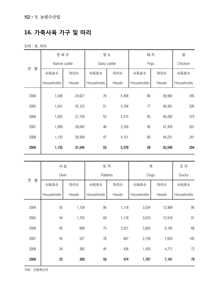## **16. 가축사육 가구 및 마리**

단위 : 호, 마리

|        | 한육우               |        | 젖소                |       | 돼 지               |        | 닭          |
|--------|-------------------|--------|-------------------|-------|-------------------|--------|------------|
| 연<br>별 | Native cattle     |        | Dairy cattle      |       | Pigs              |        | Chicken    |
|        | 사육호수              | 마리수    | 사육호수              | 마리수   | 사육호수              | 마리수    | 사육호수       |
|        | <b>Households</b> | Heads  | <b>Households</b> | Heads | <b>Households</b> | Heads  | Households |
| 2004   | 1,036             | 24,627 | 76                | 5,409 | 80                | 39,982 | 245        |
| 2005   | 1,031             | 25,123 | 51                | 4,784 | 77                | 48,381 | 326        |
| 2006   | 1,055             | 27,726 | 52                | 4,315 | 85                | 46,260 | 373        |
| 2007   | 1,009             | 28,642 | 46                | 3,760 | 90                | 47,429 | 301        |
| 2008   | 1,132             | 29,958 | 47                | 4,151 | 66                | 44,231 | 241        |
| 2009   | 1,135             | 31,044 | 53                | 5,378 | 58                | 42,049 | 204        |

|        | 사슴         |       | 토 끼        |         | 개          |        | 오 리        |
|--------|------------|-------|------------|---------|------------|--------|------------|
|        | Deer       |       |            | Rabbits | Dogs       | Ducks  |            |
| 연<br>별 | 사육호수       | 마리수   | 사육호수       | 마리수     | 사육호수       | 마리수    | 사육호수       |
|        | Households | Heads | Households | Heads   | Households | Heads  | Households |
| 2004   | 55         | 1,129 | 90         | 1,118   | 3,524      | 12,909 | 90         |
| 2005   | 54         | 1,155 | 60         | 1,118   | 3,615      | 12,919 | 91         |
| 2006   | 45         | 668   | 75         | 2,521   | 3,820      | 9,195  | 68         |
| 2007   | 45         | 527   | 78         | 667     | 2,759      | 7,653  | 145        |
| 2008   | 24         | 383   | 45         | 436     | 1,425      | 4,771  | 73         |
| 2009   | 23         | 309   | 50         | 474     | 1,767      | 7,191  | 79         |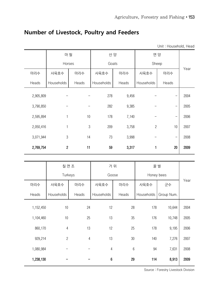| Unit: Household, Head |                |       |            |       |                      |                          |      |
|-----------------------|----------------|-------|------------|-------|----------------------|--------------------------|------|
|                       | 마 필            |       |            | 산 양   |                      | 면양                       |      |
|                       | Horses         |       | Goats      |       |                      | Sheep                    |      |
| 마리수                   | 사육호수           | 마리수   | 사육호수       | 마리수   | 사육호수                 | 마리수                      | Year |
| Heads                 | Households     | Heads | Households | Heads | Households           | Heads                    |      |
| 2,905,809             |                |       | 278        | 9,456 |                      | —                        | 2004 |
| 3,790,850             |                |       | 282        | 9,385 |                      | $\overline{\phantom{0}}$ | 2005 |
| 2,595,894             | 1              | 10    | 178        | 7,140 |                      | $\qquad \qquad -$        | 2006 |
| 2,050,416             | 1              | 3     | 209        | 3,758 | $\overline{2}$       | 10                       | 2007 |
| 3,071,944             | $\mathfrak 3$  | 14    | 73         | 3,998 |                      | $\overline{\phantom{0}}$ | 2008 |
| 2,769,754             | $\overline{c}$ | 11    | 59         | 3,317 | 1                    | 20                       | 2009 |
|                       |                |       |            |       |                      |                          |      |
|                       | 칠면 조           |       | 거 위        |       | 꿀 벌                  |                          |      |
|                       | Turkeys        |       | Goose      |       | Honey bees           |                          |      |
| 마리수                   | 사육호수           | 마리수   | 사육호수       | 마리수   | 사육호수                 | 군수                       | Year |
| Heade                 | Households     | Heads | Households | Heads | Households Group Num |                          |      |

## **Number of Livestock, Poultry and Feeders**

|           | 칠면 조           |                | 거 위              |                  | 꿀 벌        |            |      |
|-----------|----------------|----------------|------------------|------------------|------------|------------|------|
|           | Turkeys        |                | Goose            |                  | Honey bees |            |      |
| 마리수       | 사육호수           | 마리수            | 사육호수             | 마리수              | 사육호수       | 군수         | Year |
| Heads     | Households     | Heads          | Households       | Heads            | Households | Group Num. |      |
| 1,152,450 | 10             | 24             | 12               | 28               | 178        | 10,644     | 2004 |
| 1,104,460 | 10             | 25             | 13               | 35               | 176        | 10,748     | 2005 |
| 860,170   | $\overline{4}$ | 13             | 12               | 25               | 178        | 9,195      | 2006 |
| 929,214   | $\overline{2}$ | $\overline{4}$ | 13               | 30               | 140        | 7,276      | 2007 |
| 1,080,984 |                |                | $\sqrt{4}$       | $\boldsymbol{6}$ | 94         | 7,631      | 2008 |
| 1,238,130 |                |                | $\boldsymbol{6}$ | 29               | 114        | 8,913      | 2009 |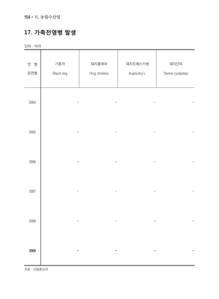## **17. 가축전염병 발생**

단위 : 마리

| 연 별<br>읍면별 | 기종저<br>Black leg | 돼지콜레라<br>Hog cholera | 돼지오제스키병<br>Aujeszky's | 돼지단독<br>Swine rysipelas |
|------------|------------------|----------------------|-----------------------|-------------------------|
| 2004       |                  |                      |                       |                         |
| 2005       |                  |                      |                       |                         |
| 2006       |                  |                      |                       |                         |
| 2007       |                  |                      |                       |                         |
| 2008       |                  |                      |                       |                         |
| 2009       |                  |                      |                       |                         |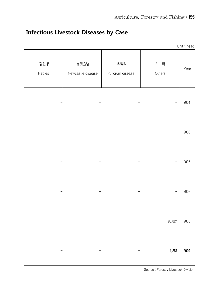| Unit: head |               |                         |                           |               |
|------------|---------------|-------------------------|---------------------------|---------------|
| Year       | 기 타<br>Others | 추백리<br>Pullorum disease | 뉴캣슬병<br>Newcastle disease | 광견병<br>Rabies |
| 2004       |               |                         |                           |               |
| 2005       | -             |                         |                           |               |
| 2006       | <sup>-</sup>  |                         |                           |               |
| 2007       | <sup>-</sup>  |                         |                           |               |
| 2008       | 96,824        |                         |                           |               |
| 2009       | 4,287         |                         |                           |               |

## **Infectious Livestock Diseases by Case**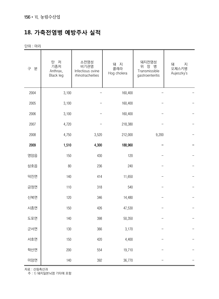## **18. 가축전염병 예방주사 실적**

단위 : 마리

| 분<br>구 | 탄<br>저<br>기종저<br>Anthrax,<br><b>Black leg</b> | 소전염성<br>비기관염<br>Infectious ovine<br>rhinotracheities | 돼 지<br>콜레라<br>Hog cholera | 돼지전염성<br>위 장 병<br>Transmissible<br>gastroenteritis | 돼<br>지<br>오제스키병<br>Aujeszky's |
|--------|-----------------------------------------------|------------------------------------------------------|---------------------------|----------------------------------------------------|-------------------------------|
| 2004   | 3,100                                         |                                                      | 160,400                   |                                                    |                               |
| 2005   | 3,100                                         |                                                      | 160,400                   |                                                    |                               |
| 2006   | 3,100                                         |                                                      | 160,400                   |                                                    |                               |
| 2007   | 4,720                                         |                                                      | 218,380                   |                                                    |                               |
| 2008   | 4,750                                         | 3,520                                                | 212,000                   | 9,200                                              |                               |
| 2009   | 1,510                                         | 4,300                                                | 188,960                   |                                                    |                               |
| 영암읍    | 150                                           | 430                                                  | 120                       |                                                    |                               |
| 삼호읍    | $80\,$                                        | 236                                                  | 240                       |                                                    |                               |
| 덕진면    | 140                                           | 414                                                  | 11,650                    |                                                    |                               |
| 금정면    | 110                                           | 318                                                  | 540                       |                                                    |                               |
| 신북면    | 120                                           | 346                                                  | 14,480                    |                                                    |                               |
| 시종면    | 150                                           | 426                                                  | 47,530                    |                                                    |                               |
| 도포면    | 140                                           | 398                                                  | 50,350                    |                                                    |                               |
| 군서면    | 130                                           | 366                                                  | 3,170                     |                                                    |                               |
| 서호면    | 150                                           | 420                                                  | 4,400                     |                                                    |                               |
| 학산면    | 200                                           | 554                                                  | 19,710                    |                                                    |                               |
| 미암면    | 140                                           | 392                                                  | 36,770                    |                                                    |                               |

자료 : 산림축산과

주 : 1) 돼지일본뇌염 기타에 포함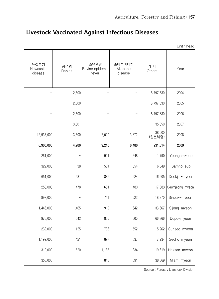|                              |               |                                  |                              |                  | Unit: head      |
|------------------------------|---------------|----------------------------------|------------------------------|------------------|-----------------|
| 뉴캣슬병<br>Newcastle<br>disease | 광견병<br>Rabies | 소유행열<br>Bovine epidemic<br>fever | 소아까바네병<br>Akabane<br>disease | 기 타<br>Others    | Year            |
|                              | 2,500         |                                  |                              | 8,797,630        | 2004            |
|                              | 2,500         |                                  |                              | 8,797,630        | 2005            |
|                              | 2,500         |                                  |                              | 8,797,630        | 2006            |
|                              | 3,501         |                                  |                              | 35,050           | 2007            |
| 12,937,000                   | 3,500         | 7,020                            | 3,672                        | 38,000<br>(일본뇌염) | 2008            |
| 6,900,000                    | 4,200         | 9,210                            | 6,480                        | 231,814          | 2009            |
| 261,000                      |               | 921                              | 648                          | 1,790            | Yeongam-eup     |
| 322,000                      | 38            | 504                              | 354                          | 6,649            | Samho-eup       |
| 651,000                      | 581           | 885                              | 624                          | 16,605           | Deokjin-myeon   |
| 253,000                      | 478           | 681                              | 480                          | 17,683           | Geumjeong-myeon |
| 897,000                      |               | 741                              | 522                          | 18,870           | Sinbuk-myeon    |
| 1,446,000                    | 1,465         | 912                              | 642                          | 33,667           | Sijong-myeon    |
| 976,000                      | 542           | 855                              | 600                          | 66,366           | Dopo-myeon      |
| 232,000                      | 155           | 786                              | 552                          | 5,262            | Gunseo-myeon    |
| 1,199,000                    | 421           | 897                              | 633                          | 7,234            | Seoho-myeon     |
| 310,000                      | 520           | 1,185                            | 834                          | 19,619           | Haksan-myeon    |
| 353,000                      |               | 843                              | 591                          | 38,069           | Miam-myeon      |

## **Livestock Vaccinated Against Infectious Diseases**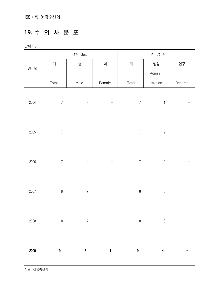## **19. 수 의 사 분 포**

단위 : 명

|        | 성별 Sex<br>직 업 별  |                  |                           |                  |                         |         |
|--------|------------------|------------------|---------------------------|------------------|-------------------------|---------|
| 연<br>별 | 계                | 남                | $\Theta$                  | 계                | 행정                      | 연구      |
|        |                  |                  |                           |                  | Admini-                 |         |
|        | Total            | Male             | Female                    | Total            | stration                | Reserch |
|        |                  |                  |                           |                  |                         |         |
| 2004   | $\boldsymbol{7}$ |                  |                           | $\boldsymbol{7}$ | $\mathbf{1}$            |         |
|        |                  |                  |                           |                  |                         |         |
|        |                  |                  |                           |                  |                         |         |
| 2005   | $\overline{7}$   |                  |                           | $\overline{7}$   | $\overline{c}$          |         |
|        |                  |                  |                           |                  |                         |         |
| 2006   | $\overline{7}$   |                  |                           | $\boldsymbol{7}$ | $\overline{c}$          |         |
|        |                  |                  |                           |                  |                         |         |
|        |                  |                  |                           |                  |                         |         |
| 2007   | $\,8\,$          | $\boldsymbol{7}$ | $\ensuremath{\mathsf{1}}$ | $\, 8$           | $\mathfrak{B}$          |         |
|        |                  |                  |                           |                  |                         |         |
|        |                  |                  |                           |                  |                         |         |
| 2008   | $\,8\,$          | $\boldsymbol{7}$ | $\mathbf{1}$              | $\, 8$           | $\mathfrak{B}$          |         |
|        |                  |                  |                           |                  |                         |         |
|        |                  |                  |                           |                  |                         |         |
| 2009   | $\boldsymbol{9}$ | $\pmb{8}$        | $\mathbf{1}$              | $\boldsymbol{9}$ | $\overline{\mathbf{4}}$ |         |
|        |                  |                  |                           |                  |                         |         |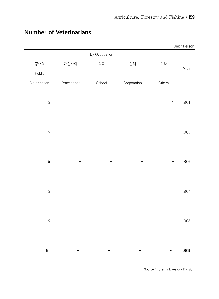| Unit: Person |               |             |        |              |                |  |  |  |  |
|--------------|---------------|-------------|--------|--------------|----------------|--|--|--|--|
|              | By Occupation |             |        |              |                |  |  |  |  |
|              | 기타            | 단체          | 학교     | 개업수의         | 공수의            |  |  |  |  |
| Year         |               |             |        |              | Public         |  |  |  |  |
|              | Others        | Corporation | School | Practitioner | Veterinarian   |  |  |  |  |
| 2004         | $\mathbf{1}$  |             |        |              | $\overline{5}$ |  |  |  |  |
| 2005         |               |             |        |              | $\overline{5}$ |  |  |  |  |
| 2006         |               |             |        |              | $\overline{5}$ |  |  |  |  |
| 2007         |               |             |        |              | $\overline{5}$ |  |  |  |  |
| 2008         |               |             |        |              | $\overline{5}$ |  |  |  |  |
| 2009         |               |             |        |              | $\sqrt{5}$     |  |  |  |  |

## **Number of Veterinarians**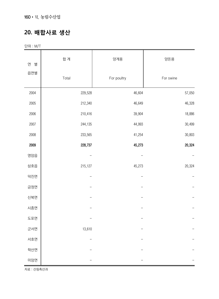#### **20. 배합사료 생산**

단위 : M/T

| 연<br>별 | 합 계     | 양계용         | 양돈용       |
|--------|---------|-------------|-----------|
| 읍면별    | Total   | For poultry | For swine |
| 2004   | 229,528 | 46,604      | 57,050    |
| 2005   | 212,340 | 46,649      | 46,328    |
| 2006   | 210,416 | 39,904      | 18,886    |
| 2007   | 244,135 | 44,993      | 30,499    |
| 2008   | 233,565 | 41,254      | 30,803    |
| 2009   | 228,737 | 45,273      | 20,324    |
| 영암읍    |         |             |           |
| 삼호읍    | 215,127 | 45,273      | 20,324    |
| 덕진면    |         |             |           |
| 금정면    |         |             |           |
| 신북면    |         |             |           |
| 시종면    |         |             |           |
| 도포면    |         |             |           |
| 군서면    | 13,610  |             |           |
| 서호면    |         |             |           |
| 학산면    |         |             |           |
| 미암면    |         |             |           |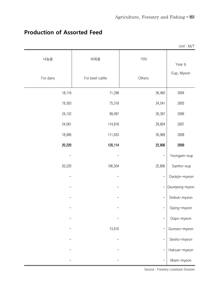|           |                 |                | Unit: M/T       |
|-----------|-----------------|----------------|-----------------|
| 낙농용       | 비육용             | 기타             | Year &          |
| For dairy | For beef cattle | Others         | Eup, Myeon      |
| 18,116    | 71,298          | 36,460         | 2004            |
| 19,303    | 75,518          | 24,541         | 2005            |
| 24,132    | 89,097          | 30,397         | 2006            |
| 24,061    | 114,818         | 29,804         | 2007            |
| 18,906    | 111,633         | 30,969         | 2008            |
| 20,220    | 120,114         | 22,806         | 2009            |
|           |                 |                | Yeongam-eup     |
| 20,220    | 106,504         | 22,806         | Samho-eup       |
|           |                 | $\overline{a}$ | Deokjin-myeon   |
|           |                 | Ξ              | Geumjeong-myeon |
|           |                 |                | Sinbuk-myeon    |
|           |                 |                | Sijong-myeon    |
|           |                 |                | Dopo-myeon      |
|           | 13,610          |                | Gunseo-myeon    |
|           |                 |                | Seoho-myeon     |
|           |                 |                | Haksan-myeon    |
|           |                 |                | Miam-myeon      |

#### **Production of Assorted Feed**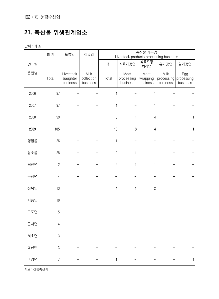## **21. 축산물 위생관계업소**

단위 : 개소

|        | 합 계            | 도축업                                | 집유업                            |              | Livestock products processing business | 축산물 가공업                      |                  |                                          |
|--------|----------------|------------------------------------|--------------------------------|--------------|----------------------------------------|------------------------------|------------------|------------------------------------------|
| 연<br>별 |                |                                    |                                | 계            | 식육가공업                                  | 식육포장<br>처리업                  | 유가공업             | 알가공업                                     |
| 읍면별    | Total          | Livestock<br>siaughter<br>business | Milk<br>collection<br>business | Total        | Meat<br>processing<br>business         | Meat<br>wrapping<br>business | Milk<br>business | Egg<br>processing processing<br>business |
| 2006   | 97             |                                    |                                | 1            |                                        | 1                            |                  |                                          |
| 2007   | 97             |                                    |                                | 1            |                                        | 1                            |                  |                                          |
| 2008   | 99             |                                    |                                | $\, 8$       | $\mathbf{1}$                           | $\overline{4}$               |                  | 1                                        |
| 2009   | 105            |                                    |                                | 10           | 3                                      | $\overline{\mathbf{4}}$      |                  | $\mathbf{1}$                             |
| 영암읍    | 26             |                                    |                                | $\mathbf{1}$ |                                        |                              |                  |                                          |
| 삼호읍    | 28             |                                    |                                | $\mathbf{2}$ | $\mathbf{1}$                           | 1                            |                  |                                          |
| 덕진면    | $\overline{2}$ |                                    |                                | $\sqrt{2}$   | 1                                      | 1                            |                  |                                          |
| 금정면    | $\sqrt{4}$     |                                    |                                |              |                                        |                              |                  |                                          |
| 신북면    | 13             |                                    |                                | $\sqrt{4}$   | $\mathbf{1}$                           | $\overline{c}$               |                  |                                          |
| 시종면    | 10             |                                    |                                |              |                                        |                              |                  |                                          |
| 도포면    | 5              |                                    |                                |              |                                        |                              |                  |                                          |
| 군서면    | $\overline{4}$ |                                    |                                |              |                                        |                              |                  |                                          |
| 서호면    | $\sqrt{3}$     |                                    |                                |              |                                        |                              |                  |                                          |
| 학산면    | $\sqrt{3}$     |                                    |                                |              |                                        |                              |                  |                                          |
| 미암면    | $\overline{7}$ |                                    |                                | 1            |                                        |                              |                  |                                          |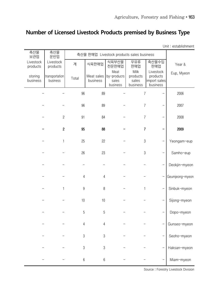## **Number of Licensed Livestock Products premised by Business Type**

Unit : establishment

| 축산물<br>보관업            | 축산물<br>운반업                 |                  |                        | 축산물 판매업 Livestock products sales business |                                       |                                                   |                 |
|-----------------------|----------------------------|------------------|------------------------|-------------------------------------------|---------------------------------------|---------------------------------------------------|-----------------|
| Livestock<br>products | Livestock<br>products      | 계                | 식육판매업                  | 식육부산물<br>전문판매업                            | 우유류<br>판매업                            | 축산물수입<br>판매업                                      | Year &          |
| storing<br>business   | transportation<br>business | Total            | Meat sales<br>business | Meat<br>by-producrs<br>saies<br>business  | Milk<br>products<br>sales<br>business | Livestock<br>products<br>import sales<br>business | Eup, Myeon      |
|                       |                            | 96               | 89                     |                                           | $\overline{7}$                        |                                                   | 2006            |
|                       |                            | 96               | 89                     |                                           | $\overline{7}$                        |                                                   | 2007            |
|                       | $\mathbf{2}$               | 91               | 84                     |                                           | $\overline{7}$                        |                                                   | 2008            |
|                       | $\overline{2}$             | 95               | 88                     |                                           | $\overline{7}$                        |                                                   | 2009            |
|                       | 1                          | 25               | 22                     |                                           | $\mathfrak 3$                         |                                                   | Yeongam-eup     |
|                       |                            | 26               | 23                     |                                           | $\mathfrak 3$                         |                                                   | Samho-eup       |
|                       |                            |                  |                        |                                           |                                       |                                                   | Deokjin-myeon   |
|                       |                            | $\overline{4}$   | $\sqrt{4}$             |                                           |                                       |                                                   | Geumjeong-myeon |
|                       | 1                          | $\boldsymbol{9}$ | 8                      |                                           | 1                                     |                                                   | Sinbuk-myeon    |
|                       |                            | 10               | $10$                   |                                           |                                       |                                                   | Sijong-myeon    |
|                       |                            | $\sqrt{5}$       | $\sqrt{5}$             |                                           |                                       |                                                   | Dopo-myeon      |
|                       |                            | 4                | 4                      |                                           |                                       |                                                   | Gunseo-myeon    |
|                       |                            | $\mathfrak{B}$   | $\mathfrak{S}$         |                                           |                                       |                                                   | Seoho-myeon     |
|                       |                            | $\boldsymbol{3}$ | $\mathfrak{Z}$         |                                           |                                       |                                                   | Haksan-myeon    |
|                       |                            | $\boldsymbol{6}$ | $6\,$                  |                                           |                                       |                                                   | Miam-myeon      |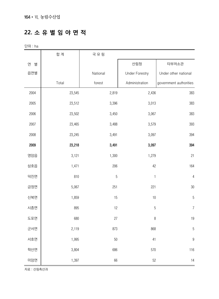#### **22. 소 유 별 임 야 면 적**

단위 : ha

|        | 합계     | 국 유 림          |                       |                        |
|--------|--------|----------------|-----------------------|------------------------|
| 연<br>별 |        |                | 산림청                   | 타부처소관                  |
| 읍면별    |        | National       | <b>Under Forestry</b> | Under other national   |
|        | Total  | forest         | Administration        | government authorities |
| 2004   | 23,545 | 2,819          | 2,436                 | 383                    |
| 2005   | 23,512 | 3,396          | 3,013                 | 383                    |
| 2006   | 23,502 | 3,450          | 3,067                 | 383                    |
| 2007   | 23,465 | 3,488          | 3,579                 | 393                    |
| 2008   | 23,245 | 3,491          | 3,097                 | 394                    |
| 2009   | 23,218 | 3,491          | 3,097                 | 394                    |
| 영암읍    | 3,121  | 1,300          | 1,279                 | 21                     |
| 삼호읍    | 1,471  | 206            | 42                    | 164                    |
| 덕진면    | 810    | $\overline{5}$ | 1                     | $\overline{4}$         |
| 금정면    | 5,067  | 251            | 221                   | 30                     |
| 신북면    | 1,859  | 15             | $10$                  | $\overline{5}$         |
| 시종면    | 895    | 12             | 5                     | $\overline{7}$         |
| 도포면    | 680    | 27             | $\, 8$                | 19                     |
| 군서면    | 2,119  | 873            | 868                   | $\overline{5}$         |
| 서호면    | 1,995  | $50\,$         | 41                    | $\boldsymbol{9}$       |
| 학산면    | 3,804  | 686            | 570                   | 116                    |
| 미암면    | 1,397  | 66             | 52                    | 14                     |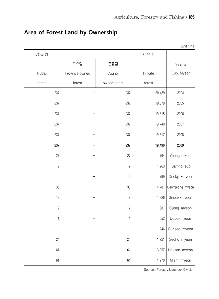|              |                |              |         | Unit: $ha$      |
|--------------|----------------|--------------|---------|-----------------|
| 공유림          |                |              | 사 유 림   |                 |
|              | 도유림            | 군유림          |         | Year &          |
| Public       | Province owned | County       | Private | Eup, Myeon      |
| forest       | forest         | owned forest | forest  |                 |
| 237          |                | 237          | 20,489  | 2004            |
| 237          |                | 237          | 19,879  | 2005            |
| 237          |                | 237          | 19,815  | 2006            |
| 237          |                | 237          | 19,740  | 2007            |
| 237          |                | 237          | 19,517  | 2008            |
| 237          |                | 237          | 19,490  | 2009            |
| 27           |                | 27           | 1,794   | Yeongam-eup     |
| $\sqrt{2}$   |                | $\sqrt{2}$   | 1,263   | Samho-eup       |
| $6\,$        |                | $6\,$        | 799     | Deokjin-myeon   |
| 35           |                | 35           | 4,781   | Geumjeong-myeon |
| 18           |                | 18           | 1,826   | Sinbuk-myeon    |
| $\sqrt{2}$   |                | $\sqrt{2}$   | 881     | Sijong-myeon    |
| $\mathbf{1}$ |                | $\mathbf{1}$ | 652     | Dopo-myeon      |
|              |                |              | 1,246   | Gunseo-myeon    |
| 24           |                | 24           | 1,921   | Seoho-myeon     |
| 61           |                | 61           | 3,057   | Haksan-myeon    |
| 61           |                | 61           | 1,270   | Miam-myeon      |

## **Area of Forest Land by Ownership**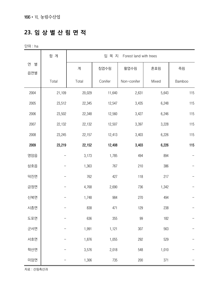#### **23. 임 상 별 산 림 면 적**

단위 : ha

|               | 합 계    | 입 목 지<br>Forest land with trees |         |             |       |        |  |
|---------------|--------|---------------------------------|---------|-------------|-------|--------|--|
| 연<br>별<br>읍면별 |        | 계                               | 침엽수림    | 활엽수림        | 혼효림   | 죽림     |  |
|               | Total  | Total                           | Conifer | Non-conifer | Mixed | Bamboo |  |
| 2004          | 21,109 | 20,029                          | 11,640  | 2,631       | 5,643 | 115    |  |
| 2005          | 23,512 | 22,345                          | 12,547  | 3,435       | 6,248 | 115    |  |
| 2006          | 23,502 | 22,348                          | 12,560  | 3,427       | 6,246 | 115    |  |
| 2007          | 22,132 | 22,132                          | 12,507  | 3,397       | 3,228 | 115    |  |
| 2008          | 23,245 | 22,157                          | 12,413  | 3,403       | 6,226 | 115    |  |
| 2009          | 23,219 | 22,152                          | 12,408  | 3,403       | 6,226 | 115    |  |
| 영암읍           |        | 3,173                           | 1,785   | 494         | 894   |        |  |
| 삼호읍           |        | 1,363                           | 767     | 210         | 386   |        |  |
| 덕진면           |        | 762                             | 427     | 118         | 217   |        |  |
| 금정면           |        | 4,768                           | 2,690   | 736         | 1,342 |        |  |
| 신북면           |        | 1,748                           | 984     | 270         | 494   |        |  |
| 시종면           |        | 838                             | 471     | 129         | 238   |        |  |
| 도포면           |        | 636                             | 355     | 99          | 182   |        |  |
| 군서면           |        | 1,991                           | 1,121   | 307         | 563   |        |  |
| 서호면           |        | 1,876                           | 1,055   | 292         | 529   |        |  |
| 학산면           |        | 3,576                           | 2,018   | 548         | 1,010 |        |  |
| 미암면           |        | 1,306                           | 735     | 200         | 371   |        |  |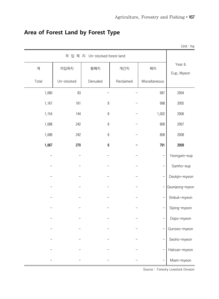|       |                                   |                  |           |               | Unit: ha             |  |  |  |
|-------|-----------------------------------|------------------|-----------|---------------|----------------------|--|--|--|
|       | 무 입 목 지<br>Un-stocked forest land |                  |           |               |                      |  |  |  |
| 계     | 미입목지                              | 황폐지              | 개간지       | 제지            | Year &<br>Eup, Myeon |  |  |  |
| Total | Un-stocked                        | Denuded          | Reclaimed | Miscellaneous |                      |  |  |  |
| 1,080 | 83                                |                  |           | 997           | 2004                 |  |  |  |
| 1,167 | 161                               | $\, 8$           |           | 998           | 2005                 |  |  |  |
| 1,154 | 144                               | $\, 8$           |           | 1,002         | 2006                 |  |  |  |
| 1,088 | 242                               | 8                |           | 808           | 2007                 |  |  |  |
| 1,088 | 242                               | $\, 8$           |           | 808           | 2008                 |  |  |  |
| 1,067 | 270                               | $\boldsymbol{6}$ |           | 791           | 2009                 |  |  |  |
|       |                                   |                  |           |               | Yeongam-eup          |  |  |  |
|       |                                   |                  |           |               | Samho-eup            |  |  |  |
|       |                                   |                  |           |               | Deokjin-myeon        |  |  |  |
|       |                                   |                  |           |               | Geumjeong-myeon      |  |  |  |
|       |                                   |                  |           | —             | Sinbuk-myeon         |  |  |  |
|       |                                   |                  |           |               | Sijong-myeon         |  |  |  |
|       |                                   |                  |           |               | Dopo-myeon           |  |  |  |
|       |                                   |                  |           |               | Gunseo-myeon         |  |  |  |
|       |                                   |                  |           |               | Seoho-myeon          |  |  |  |
|       |                                   |                  |           |               | Haksan-myeon         |  |  |  |
|       |                                   |                  |           |               | Miam-myeon           |  |  |  |

## **Area of Forest Land by Forest Type**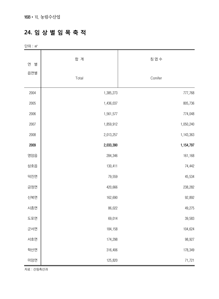#### **24. 임 상 별 임 목 축 적**

단위 : ㎥

| 연<br>별 | 합 계       | 침 엽 수     |
|--------|-----------|-----------|
| 읍면별    | Total     | Conifer   |
| 2004   | 1,385,273 | 777,768   |
| 2005   | 1,436,037 | 805,736   |
| 2006   | 1,561,577 | 774,048   |
| 2007   | 1,859,912 | 1,050,240 |
| 2008   | 2,013,257 | 1,143,363 |
| 2009   | 2,033,390 | 1,154,797 |
| 영암읍    | 284,346   | 161,168   |
| 삼호읍    | 130,411   | 74,442    |
| 덕진면    | 79,559    | 45,534    |
| 금정면    | 420,666   | 238,282   |
| 신북면    | 162,690   | 92,892    |
| 시종면    | 86,022    | 49,275    |
| 도포면    | 69,014    | 39,583    |
| 군서면    | 184,158   | 104,624   |
| 서호면    | 174,298   | 98,927    |
| 학산면    | 316,406   | 178,349   |
| 미암면    | 125,820   | 71,721    |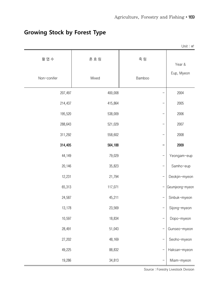|             |         |        | Unit: $m^3$     |
|-------------|---------|--------|-----------------|
| 활 엽 수       | 혼효림     | 죽 림    | Year &          |
| Non-conifer | Mixed   | Bamboo | Eup, Myeon      |
| 207,497     | 400,008 |        | 2004            |
| 214,437     | 415,864 |        | 2005            |
| 195,520     | 538,009 |        | 2006            |
| 288,643     | 521,029 |        | 2007            |
| 311,292     | 558,602 |        | 2008            |
| 314,405     | 564,188 |        | 2009            |
| 44,149      | 79,029  |        | Yeongam-eup     |
| 20,146      | 35,823  |        | Samho-eup       |
| 12,231      | 21,794  |        | Deokjin-myeon   |
| 65,313      | 117,071 |        | Geumjeong-myeon |
| 24,587      | 45,211  |        | Sinbuk-myeon    |
| 13,178      | 23,569  |        | Sijong-myeon    |
| 10,597      | 18,834  |        | Dopo-myeon      |
| 28,491      | 51,043  |        | Gunseo-myeon    |
| 27,202      | 48,169  |        | Seoho-myeon     |
| 49,225      | 88,832  |        | Haksan-myeon    |
| 19,286      | 34,813  |        | Miam-myeon      |

## **Growing Stock by Forest Type**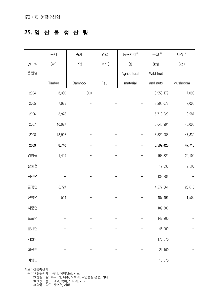#### **25. 임 산 물 생 산 량**

|        | 용재      | 죽재             | 연료    | 농용자재1)            | 종실 2)      | 버섯 3)    |
|--------|---------|----------------|-------|-------------------|------------|----------|
| 연<br>별 | $(m^3)$ | $(\triangleq)$ | (M/T) | $\left( t\right)$ | (kg)       | (kg)     |
| 읍면별    |         |                |       | Agricultural      | Wild fruit |          |
|        | Timber  | Bamboo         | Feul  | material          | and nuts   | Mushroom |
| 2004   | 3,360   | 300            |       |                   | 3,958,179  | 7,090    |
| 2005   | 7,928   |                |       |                   | 3,205,078  | 7,000    |
| 2006   | 3,978   |                |       |                   | 5,713,220  | 18,587   |
| 2007   | 10,927  |                |       |                   | 6,643,994  | 45,000   |
| 2008   | 13,926  |                |       |                   | 6,520,988  | 47,830   |
| 2009   | 8,740   |                |       |                   | 5,592,428  | 47,710   |
| 영암읍    | 1,499   |                |       |                   | 168,320    | 20,100   |
| 삼호읍    |         |                |       |                   | 17,330     | 2,500    |
| 덕진면    |         |                |       |                   | 133,786    |          |
| 금정면    | 6,727   |                |       |                   | 4,277,861  | 23,610   |
| 신북면    | 514     |                |       |                   | 487,491    | 1,500    |
| 시종면    |         |                |       |                   | 109,500    |          |
| 도포면    |         |                |       |                   | 142,200    |          |
| 군서면    |         |                |       |                   | 45,200     |          |
| 서호면    |         |                |       |                   | 176,070    |          |
| 학산면    |         |                |       |                   | 21,100     |          |
| 미암면    |         |                |       |                   | 13,570     |          |

자료 : 산림축산과

 주 : 1) 농용자재 : 녹비, 퇴비원료, 사료 2) 종실 : 밤, 호두, 잣, 대추, 도토리, 낙엽송실 은행, 기타 3) 버섯 : 송이, 표고, 목이, 느타리, 기타 4) 약용 : 약초, 산수유, 기타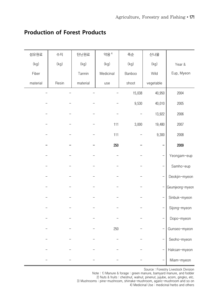| 섬유원료     | 수지    | 탄닌원료     | 약용 $4$    | 죽순     | 산나물                      |                 |
|----------|-------|----------|-----------|--------|--------------------------|-----------------|
| (kg)     | (kg)  | (kg)     | (kg)      | (kg)   | (kg)                     | Year &          |
| Fiber    |       | Tannin   | Medicinal | Banboo | Wild                     | Eup, Myeon      |
| material | Resin | material | use       | shoot  | vegetable                |                 |
|          |       |          |           | 15,038 | 40,950                   | 2004            |
|          |       |          |           | 9,530  | 40,010                   | 2005            |
|          |       |          |           |        | 13,922                   | 2006            |
|          |       |          | 111       | 3,000  | 19,480                   | 2007            |
|          |       |          | 111       |        | 9,300                    | 2008            |
|          |       |          | 250       |        | -                        | 2009            |
|          |       |          |           |        | <sup>-</sup>             | Yeongam-eup     |
|          |       |          |           |        |                          | Samho-eup       |
|          |       |          |           |        |                          | Deokjin-myeon   |
|          |       |          |           |        |                          | Geumjeong-myeon |
|          |       |          |           |        | $\overline{\phantom{0}}$ | Sinbuk-myeon    |
|          |       |          |           |        | $\qquad \qquad -$        | Sijong-myeon    |
|          |       |          |           |        |                          | Dopo-myeon      |
|          |       |          | 250       |        | $\qquad \qquad -$        | Gunseo-myeon    |
|          |       |          |           |        |                          | Seoho-myeon     |
|          |       |          |           |        |                          | Haksan-myeon    |
|          |       |          |           |        |                          | Miam-myeon      |

#### **Production of Forest Products**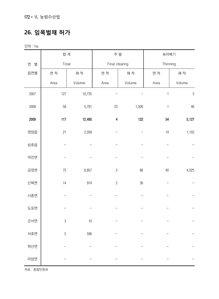172•Ⅵ. 농림수산업

## **26. 임목벌채 허가**

단위 : ha

|        | 합계          |        | 주 벌                     |        | 솎아베기         |                |
|--------|-------------|--------|-------------------------|--------|--------------|----------------|
| 연<br>별 | Total       |        | Final clearing          |        | Thinning     |                |
| 읍면별    | 면 적         | 재 적    | 면 적                     | 재 적    | 면 적          | 재 적            |
|        | Area        | Volume | Area                    | Volume | Area         | Volume         |
| 2007   | 127         | 10,735 |                         |        | $\mathbf{1}$ | $\overline{5}$ |
| 2008   | 58          | 5,791  | 23                      | 1,926  | $\mathbf{1}$ | 46             |
| 2009   | 117         | 12,495 | $\overline{\mathbf{4}}$ | 122    | 54           | 5,127          |
| 영암읍    | 21          | 2,058  |                         |        | 14           | 1,102          |
| 삼호읍    |             |        |                         |        |              |                |
| 덕진면    |             |        |                         |        |              |                |
| 금정면    | $75\,$      | 8,857  | $\sqrt{2}$              | 86     | $40\,$       | 4,025          |
| 신북면    | $14$        | 974    | $\overline{c}$          | $36\,$ |              |                |
| 시종면    |             |        |                         |        |              |                |
| 도포면    |             |        |                         |        |              |                |
| 군서면    | $\sqrt{3}$  | 10     |                         |        |              |                |
| 서호면    | $\,$ 5 $\,$ | 596    |                         |        |              |                |
| 학산면    |             |        |                         |        |              |                |
| 미암면    |             |        |                         |        |              |                |

자료 : 종합민원과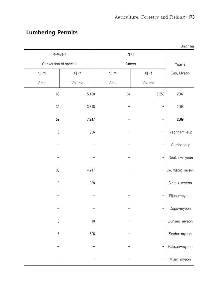# **Lumbering Permits**

|                       |        |        |        | Unit: ha        |
|-----------------------|--------|--------|--------|-----------------|
| 수종갱신                  |        | 기 타    |        |                 |
| Conversion of species |        | Others |        | Year &          |
| 면 적                   | 재 적    | 면 적    | 재 적    | Eup, Myeon      |
| Area                  | Volume | Area   | Volume |                 |
| 63                    | 5,480  | 64     | 5,250  | 2007            |
| 34                    | 3,818  |        |        | 2008            |
| 59                    | 7,247  |        |        | 2009            |
| $\,6$                 | 956    |        |        | Yeongam-eup     |
|                       |        |        |        | Samho-eup       |
|                       |        |        |        | Deokjin-myeon   |
| 33                    | 4,747  |        |        | Geumjeong-myeon |
| 12                    | 938    |        |        | Sinbuk-myeon    |
|                       |        |        |        | Sijong-myeon    |
|                       |        |        |        | Dopo-myeon      |
| $\sqrt{3}$            | $10$   |        |        | Gunseo-myeon    |
| $\mathbf 5$           | 596    |        |        | Seoho-myeon     |
|                       |        |        |        | Haksan-myeon    |
|                       |        |        |        | Miam-myeon      |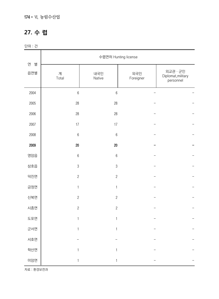#### 174•Ⅵ. 농림수산업

#### **27. 수 렵**

단위 : 건

|               | 수렵면허 Hunting license |                  |                  |                                             |  |  |  |
|---------------|----------------------|------------------|------------------|---------------------------------------------|--|--|--|
| 연<br>별<br>읍면별 | 계<br>Total           | 내국인<br>Native    | 외국인<br>Foreigner | 외교관 · 군인<br>Diplomat, military<br>personnel |  |  |  |
| 2004          | $\,6$                | $6\,$            |                  |                                             |  |  |  |
| 2005          | 28                   | 28               |                  |                                             |  |  |  |
| 2006          | 28                   | 28               |                  |                                             |  |  |  |
| 2007          | 17                   | 17               |                  |                                             |  |  |  |
| 2008          | $\boldsymbol{6}$     | $\boldsymbol{6}$ |                  |                                             |  |  |  |
| 2009          | $20\,$               | 20               |                  |                                             |  |  |  |
| 영암읍           | $\boldsymbol{6}$     | $6\,$            |                  |                                             |  |  |  |
| 삼호읍           | $\mathfrak 3$        | $\mathfrak{B}$   |                  |                                             |  |  |  |
| 덕진면           | $\sqrt{2}$           | $\sqrt{2}$       |                  |                                             |  |  |  |
| 금정면           | $\mathbf{1}$         | $\mathbf{1}$     |                  |                                             |  |  |  |
| 신북면           | $\overline{c}$       | $\sqrt{2}$       |                  |                                             |  |  |  |
| 시종면           | $\overline{c}$       | $\sqrt{2}$       |                  |                                             |  |  |  |
| 도포면           | $\mathbf{1}$         | $\mathbf{1}$     |                  |                                             |  |  |  |
| 군서면           | $\mathbf{1}$         | $\mathbf{1}$     |                  |                                             |  |  |  |
| 서호면           |                      |                  |                  |                                             |  |  |  |
| 학산면           | 1                    | 1                |                  |                                             |  |  |  |
| 미암면           | $\mathbf{1}$         | $\mathbf{1}$     |                  |                                             |  |  |  |

자료 : 환경보전과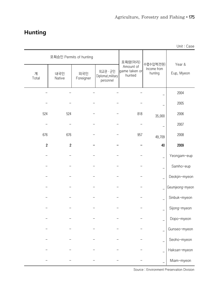## **Hunting**

|                |                         |                  |                                             |                                      |                                     | Unit: Case           |
|----------------|-------------------------|------------------|---------------------------------------------|--------------------------------------|-------------------------------------|----------------------|
|                | 포획승인 Permits of hunting |                  |                                             | 포획량(마리)                              |                                     |                      |
| 계<br>Total     | 내국인<br>Native           | 외국인<br>Foreigner | 외교관 · 군인<br>Diplomat, military<br>personnel | Amount of<br>game taken or<br>hunted | 수렵수입액(천원)<br>Income from<br>hunting | Year &<br>Eup, Myeon |
|                |                         |                  |                                             |                                      |                                     | 2004                 |
|                |                         |                  |                                             |                                      |                                     | 2005                 |
| 524            | 524                     |                  |                                             | 818                                  | 35,000                              | 2006                 |
|                |                         |                  |                                             |                                      |                                     | 2007                 |
| 676            | 676                     |                  |                                             | 957                                  | 49,709                              | 2008                 |
| $\overline{c}$ | $\overline{c}$          |                  |                                             |                                      | 40                                  | 2009                 |
|                |                         |                  |                                             |                                      |                                     | Yeongam-eup          |
|                |                         |                  |                                             |                                      |                                     | Samho-eup            |
|                |                         |                  |                                             |                                      |                                     | Deokjin-myeon        |
|                |                         |                  |                                             |                                      |                                     | Geumjeong-myeon      |
|                |                         |                  |                                             |                                      |                                     | Sinbuk-myeon         |
|                |                         |                  |                                             |                                      |                                     | Sijong-myeon         |
|                |                         |                  |                                             |                                      |                                     | Dopo-myeon           |
|                |                         |                  |                                             |                                      |                                     | Gunseo-myeon         |
|                |                         |                  |                                             |                                      |                                     | Seoho-myeon          |
|                |                         |                  |                                             |                                      |                                     | Haksan-myeon         |
|                |                         |                  |                                             |                                      |                                     | Miam-myeon           |

Source : Environment Preservation Division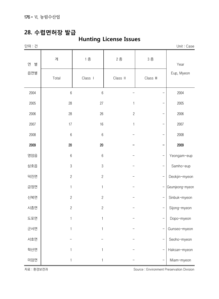176•Ⅵ. 농림수산업

## **28. 수렵면허장 발급**

## **Hunting License Issues**

| ΩI |  |
|----|--|
|    |  |

단위 : 건 Unit : Case

| 연<br>별 | 계                | 1 종            | 2종         | 3종        | Year            |
|--------|------------------|----------------|------------|-----------|-----------------|
| 읍면별    | Total            | Class I        | Class II   | Class III | Eup, Myeon      |
| 2004   | $6\,$            | $\,6\,$        |            |           | 2004            |
| 2005   | 28               | 27             | 1          |           | 2005            |
| 2006   | 28               | 26             | $\sqrt{2}$ |           | 2006            |
| 2007   | 17               | 16             | 1          |           | 2007            |
| 2008   | $6\,$            | $\,6\,$        |            |           | 2008            |
| 2009   | $20\,$           | $20\,$         |            |           | 2009            |
| 영암읍    | $\boldsymbol{6}$ | $\,6\,$        |            |           | Yeongam-eup     |
| 삼호읍    | $\sqrt{3}$       | $\mathfrak{B}$ |            |           | Samho-eup       |
| 덕진면    | $\sqrt{2}$       | $\overline{c}$ |            |           | Deokjin-myeon   |
| 금정면    | $\mathbf{1}$     | $\mathbf{1}$   |            |           | Geumjeong-myeon |
| 신북면    | $\sqrt{2}$       | $\sqrt{2}$     |            |           | Sinbuk-myeon    |
| 시종면    | $\overline{c}$   | $\overline{c}$ |            |           | Sijong-myeon    |
| 도포면    | $\mathbf{1}$     | $\mathbf{1}$   |            |           | Dopo-myeon      |
| 군서면    | $\mathbf{1}$     | 1              |            |           | Gunseo-myeon    |
| 서호면    |                  |                |            |           | Seoho-myeon     |
| 학산면    | 1                | 1              |            |           | Haksan-myeon    |
| 미암면    | $\mathbf{1}$     | 1              |            |           | Miam-myeon      |

자료 : 환경보전과 Source : Environment Preservation Division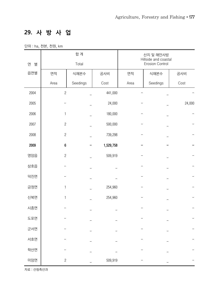## **29. 사 방 사 업**

단위 : ha, 천본, 천원, km

|        |                  | 합 계      |           |      | 산지 및 해안사방<br>Hillside and coastal |        |
|--------|------------------|----------|-----------|------|-----------------------------------|--------|
| 연<br>별 |                  | Total    |           |      | Erosion Control                   |        |
| 읍면별    | 면적               | 식재본수     | 공사비       | 면적   | 식재본수                              | 공사비    |
|        | Area             | Seedings | Cost      | Area | Seedings                          | Cost   |
| 2004   | $\overline{c}$   |          | 441,000   |      |                                   |        |
| 2005   |                  |          | 24,000    |      |                                   | 24,000 |
| 2006   | 1                |          | 180,000   |      |                                   |        |
| 2007   | $\mathbf{2}$     |          | 500,000   |      |                                   |        |
| 2008   | $\sqrt{2}$       |          | 739,298   |      |                                   |        |
| 2009   | $\boldsymbol{6}$ |          | 1,529,758 |      |                                   |        |
| 영암읍    | $\overline{c}$   |          | 509,919   |      |                                   |        |
| 삼호읍    |                  |          |           |      |                                   |        |
| 덕진면    |                  |          |           |      |                                   |        |
| 금정면    | 1                |          | 254,960   |      |                                   |        |
| 신북면    | 1                |          | 254,960   |      |                                   |        |
| 시종면    |                  |          |           |      |                                   |        |
| 도포면    |                  |          |           |      |                                   |        |
| 군서면    |                  |          |           |      |                                   |        |
| 서호면    |                  |          |           |      |                                   |        |
| 학산면    |                  |          |           |      |                                   |        |
| 미암면    | $\overline{c}$   |          | 509,919   |      |                                   |        |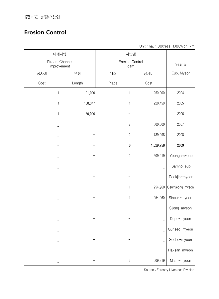#### **Erosion Control**

Unit : ha, 1,000tress, 1,000Won, km

| 야계사방                          |         | 사방댐                           |           |                 |
|-------------------------------|---------|-------------------------------|-----------|-----------------|
| Stream Channel<br>Improvement |         | <b>Erosion Control</b><br>dam | Year &    |                 |
| 공사비                           | 연장      | 개소                            | 공사비       | Eup, Myeon      |
| Cost                          | Length  | Place                         | Cost      |                 |
| 1                             | 191,000 | 1                             | 250,000   | 2004            |
| 1                             | 168,347 | $\mathbf{1}$                  | 220,450   | 2005            |
| $\mathbf{1}$                  | 180,000 |                               |           | 2006            |
|                               |         | $\sqrt{2}$                    | 500,000   | 2007            |
|                               |         | $\sqrt{2}$                    | 739,298   | 2008            |
|                               |         | $\boldsymbol{6}$              | 1,529,758 | 2009            |
|                               |         | $\overline{c}$                | 509,919   | Yeongam-eup     |
|                               |         |                               |           | Samho-eup       |
|                               |         |                               |           | Deokjin-myeon   |
|                               |         | 1                             | 254,960   | Geumjeong-myeon |
|                               |         | 1                             | 254,960   | Sinbuk-myeon    |
|                               |         |                               |           | Sijong-myeon    |
|                               |         |                               |           | Dopo-myeon      |
|                               |         |                               |           | Gunseo-myeon    |
|                               |         |                               |           | Seoho-myeon     |
|                               |         |                               |           | Haksan-myeon    |
|                               |         | $\overline{c}$                | 509,919   | Miam-myeon      |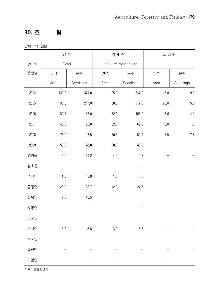## **30. 조 림**

단위 : ha, 천본

|        | 합계       |           | 경제수                    |           | 조경수     |           |
|--------|----------|-----------|------------------------|-----------|---------|-----------|
| 연<br>별 | Total    |           | Long-term rotation spp |           |         |           |
| 읍면별    | 면적       | 본수        | 면적                     | 본수        | 면적      | 본수        |
|        | Area     | Seedlings | Area                   | Seedlings | Area    | Seedlings |
| 2004   | 133.0    | 371.0     | 105.0                  | 347.0     | 18.0    | $9.0\,$   |
| 2005   | 98.0     | 217.0     | 88.0                   | 212.0     | 20.0    | 5.0       |
| 2006   | 89.6     | 186.0     | 72.0                   | 168.2     | 8.6     | $4.3\,$   |
| 2007   | 48.0     | 90.0      | 32.0                   | 69.0      | $3.0\,$ | 1.5       |
| 2008   | 75.0     | 98.5      | 60.5                   | 59.4      | $1.5\,$ | 27.6      |
| 2009   | $50.0\,$ | 78.0      | 20.0                   | 48.0      |         |           |
| 영암읍    | 13.0     | 19.2      | 4.0                    | 10.7      |         |           |
| 삼호읍    |          |           |                        |           |         |           |
| 덕진면    | $1.0\,$  | 3.0       | $1.0\,$                | 3.0       |         |           |
| 금정면    | 26.0     | 38.7      | 12.0                   | 27.7      |         |           |
| 신북면    | $7.0\,$  | 10.5      |                        |           |         |           |
| 시종면    |          |           |                        |           |         |           |
| 도포면    |          |           |                        |           |         |           |
| 군서면    | $3.0\,$  | 6.6       | 3.0                    | $6.6\,$   |         |           |
| 서호면    |          |           |                        |           |         |           |
| 학산면    |          |           |                        |           |         |           |
| 미암면    |          |           |                        |           |         |           |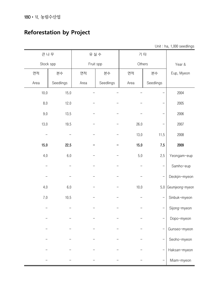## **Reforestation by Project**

Unit : ha, 1,000 seedlings

| 큰나무       |           | 유실수       |           | 기 타    |           |                 |
|-----------|-----------|-----------|-----------|--------|-----------|-----------------|
| Stock spp |           | Fruit spp |           | Others |           | Year &          |
| 면적        | 본수        | 면적        | 본수        | 면적     | 본수        | Eup, Myeon      |
| Area      | Seedlings | Area      | Seedlings | Area   | Seedlings |                 |
| 10.0      | 15.0      |           |           |        |           | 2004            |
| 8.0       | 12.0      |           |           |        |           | 2005            |
| 9.0       | 13.5      |           |           |        |           | 2006            |
| 13.0      | 19.5      |           |           | 26.0   |           | 2007            |
|           |           |           |           | 13.0   | 11.5      | 2008            |
| 15.0      | 22.5      |           |           | 15.0   | 7.5       | 2009            |
| 4.0       | 6.0       |           |           | 5.0    | 2.5       | Yeongam-eup     |
|           |           |           |           |        |           | Samho-eup       |
|           |           |           |           |        |           | Deokjin-myeon   |
| 4.0       | 6.0       |           |           | 10.0   | $5.0\,$   | Geumjeong-myeon |
| 7.0       | 10.5      |           |           |        |           | Sinbuk-myeon    |
|           |           |           |           |        |           | Sijong-myeon    |
|           |           |           |           |        |           | Dopo-myeon      |
|           |           |           |           |        |           | Gunseo-myeon    |
|           |           |           |           |        |           | Seoho-myeon     |
|           |           |           |           |        |           | Haksan-myeon    |
|           |           |           |           |        |           | Miam-myeon      |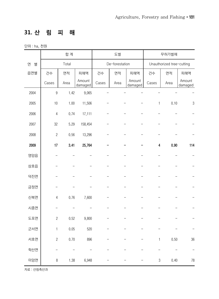## **31. 산 림 피 해**

단위 : ha, 천원

|        | 합계             |       |                   | 도벌    |                |                   | 무허가벌채                   |                           |                   |
|--------|----------------|-------|-------------------|-------|----------------|-------------------|-------------------------|---------------------------|-------------------|
| 연<br>별 |                | Total |                   |       | De-forestation |                   |                         | Unauthorized tree-cutting |                   |
| 읍면별    | 건수             | 면적    | 피해액               | 건수    | 면적             | 피해액               | 건수                      | 면적                        | 피해액               |
|        | Cases          | Area  | Amount<br>damaged | Cases | Area           | Amount<br>damaged | Cases                   | Area                      | Amount<br>damaged |
| 2004   | $\overline{9}$ | 1.42  | 9,065             |       |                |                   |                         |                           |                   |
| 2005   | 10             | 1.00  | 11,506            |       |                |                   | 1                       | 0.10                      | $\sqrt{3}$        |
| 2006   | $\overline{4}$ | 0.74  | 17,111            |       |                |                   |                         |                           |                   |
| 2007   | 32             | 5.29  | 158,454           |       |                |                   |                         |                           |                   |
| 2008   | $\overline{c}$ | 0.56  | 13,296            |       |                |                   |                         |                           |                   |
| 2009   | 17             | 3.41  | 25,764            |       |                |                   | $\overline{\mathbf{4}}$ | 0.90                      | 114               |
| 영암읍    |                |       |                   |       |                |                   |                         |                           |                   |
| 삼호읍    |                |       |                   |       |                |                   |                         |                           |                   |
| 덕진면    |                |       |                   |       |                |                   |                         |                           |                   |
| 금정면    |                |       |                   |       |                |                   |                         |                           |                   |
| 신북면    | $\overline{4}$ | 0.76  | 7,600             |       |                |                   |                         |                           |                   |
| 시종면    |                |       |                   |       |                |                   |                         |                           |                   |
| 도포면    | $\sqrt{2}$     | 0.52  | 9,800             |       |                |                   |                         |                           |                   |
| 군서면    | $\mathbf{1}$   | 0.05  | 520               |       |                |                   |                         |                           |                   |
| 서호면    | $\sqrt{2}$     | 0.70  | 896               |       |                |                   | $\mathbf{1}$            | 0.50                      | 36                |
| 학산면    |                |       |                   |       |                |                   |                         |                           |                   |
| 미암면    | $\, 8$         | 1.38  | 6,948             |       |                |                   | $\sqrt{3}$              | 0.40                      | $78\,$            |

자료 : 산림축산과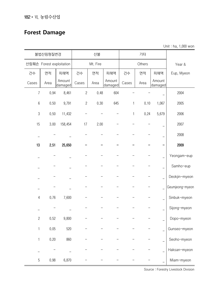182•Ⅵ. 농림수산업

# **Forest Damage**

Unit : ha, 1,000 won

|                | 불법산림형질변경                 |                   |            | 산불       |                   | 기타           |        |                   |                 |
|----------------|--------------------------|-------------------|------------|----------|-------------------|--------------|--------|-------------------|-----------------|
|                | 산림훼손 Forest exploitation |                   |            | Mt. Fire |                   |              | Others |                   | Year &          |
| 건수             | 면적                       | 피해액               | 건수         | 면적       | 피해액               | 건수           | 면적     | 피해액               | Eup, Myeon      |
| Cases          | Area                     | Amount<br>damaged | Cases      | Area     | Amount<br>damaged | Cases        | Area   | Amount<br>damaged |                 |
| $\overline{7}$ | 0.94                     | 8,461             | $\sqrt{2}$ | 0.48     | 604               |              |        |                   | 2004            |
| $6\,$          | 0.50                     | 9,791             | $\sqrt{2}$ | 0.30     | 645               | 1            | 0.10   | 1,067             | 2005            |
| $\sqrt{3}$     | 0.50                     | 11,432            |            |          |                   | $\mathbf{1}$ | 0.24   | 5,679             | 2006            |
| 15             | 3.00                     | 158,454           | 17         | 2.00     |                   |              |        |                   | 2007            |
|                |                          |                   |            |          |                   |              |        |                   | 2008            |
| 13             | 2.51                     | 25,650            |            |          |                   |              |        |                   | 2009            |
|                |                          |                   |            |          |                   |              |        |                   | Yeongam-eup     |
|                |                          |                   |            |          |                   |              |        |                   | Samho-eup       |
|                |                          |                   |            |          |                   |              |        |                   | Deokjin-myeon   |
|                |                          |                   |            |          |                   |              |        |                   | Geumjeong-myeon |
| 4              | 0.76                     | 7,600             |            |          |                   |              |        |                   | Sinbuk-myeon    |
|                |                          |                   |            |          |                   |              |        |                   | Sijong-myeon    |
| $\mathbf{2}$   | 0.52                     | 9,800             |            |          |                   |              |        |                   | Dopo-myeon      |
| 1              | 0.05                     | 520               |            |          |                   |              |        |                   | Gunseo-myeon    |
| $\mathbf{1}$   | 0.20                     | 860               |            |          |                   |              |        |                   | Seoho-myeon     |
|                |                          |                   |            |          |                   |              |        |                   | Haksan-myeon    |
| $\sqrt{5}$     | 0.98                     | 6,870             |            |          |                   |              |        |                   | Miam-myeon      |

Source : Forestry Livestock Division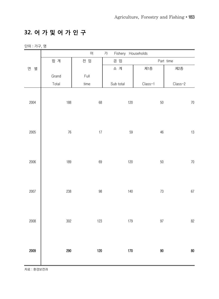#### **32. 어 가 및 어 가 인 구**

단위 : 가구, 명

|        |         | $\Theta$                     | 가         | Fishery Households |        |           |
|--------|---------|------------------------------|-----------|--------------------|--------|-----------|
|        | 합 계     | 전 업                          | 겸 업       |                    |        | Part time |
| 연<br>별 |         |                              | 소 계       | 제1종                |        | 제2종       |
|        | Grand   | $\ensuremath{\mathsf{Full}}$ |           |                    |        |           |
|        | Total   | time                         | Sub total | $Class-1$          |        | $Class-2$ |
| 2004   | 188     | $68\,$                       |           | $120$              | $50\,$ | $70\,$    |
| 2005   | $76\,$  | $17\,$                       |           | $59\,$             | $46\,$ | $13\,$    |
| 2006   | 189     | $69\,$                       |           | $120$              | $50\,$ | $70\,$    |
| 2007   | 238     | $98\,$                       |           | $140\,$            | $73\,$ | $67\,$    |
| 2008   | $302\,$ | $123\,$                      |           | 179                | $97\,$ | 82        |
| 2009   | 290     | 120                          |           | $170\,$            | 90     | $80\,$    |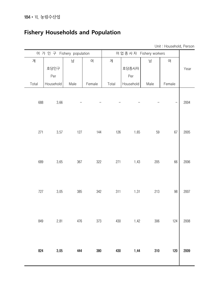## **Fishery Households and Population**

Unit : Household, Person

|       | 어 가 인 구 Fishery population |      |        | 어업종사자 Fishery workers |           |      |        |      |
|-------|----------------------------|------|--------|-----------------------|-----------|------|--------|------|
| 계     |                            | 남    | 여      | 계                     |           | 남    | 여      |      |
|       | 호당인구                       |      |        |                       | 호당종사자     |      |        | Year |
|       | Per                        |      |        |                       | Per       |      |        |      |
| Total | Household                  | Male | Female | Total                 | Household | Male | Female |      |
| 688   | 3.66                       |      |        |                       |           |      | —      | 2004 |
| 271   | 3.57                       | 127  | 144    | 126                   | 1.65      | 59   | 67     | 2005 |
| 689   | 3.65                       | 367  | 322    | 271                   | 1.43      | 205  | 66     | 2006 |
| 727   | 3.05                       | 385  | 342    | 311                   | 1.31      | 213  | 98     | 2007 |
| 849   | 2.81                       | 476  | 373    | 430                   | 1.42      | 306  | 124    | 2008 |
| 824   | 3.05                       | 444  | 380    | 430                   | 1.44      | 310  | 120    | 2009 |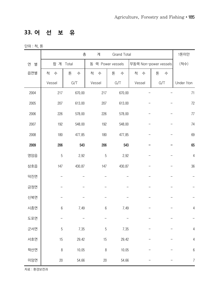# **33. 어 선 보 유**

단위 : 척, 톤

|        |           | 총      | 계      | Grand Total       |        |                       | 1톤미만             |
|--------|-----------|--------|--------|-------------------|--------|-----------------------|------------------|
| 연<br>별 | 합 계 Total |        |        | 동 력 Power vessels |        | 무동력 Non-power vessels | (척수)             |
| 읍면별    | 척<br>수    | 톤<br>수 | 척<br>수 | 톤<br>수            | 척<br>수 | 톤<br>수                |                  |
|        | Vessel    | G/T    | Vessel | G/T               | Vessel | G/T                   | Under 1ton       |
| 2004   | 217       | 670.00 | 217    | 670.00            |        |                       | 71               |
| 2005   | 207       | 613.00 | 207    | 613.00            |        |                       | $72\,$           |
| 2006   | 226       | 578.00 | 226    | 578.00            |        |                       | $77\,$           |
| 2007   | 192       | 548.00 | 192    | 548.00            |        |                       | $74\,$           |
| 2008   | 180       | 477.85 | 180    | 477.85            |        |                       | 69               |
| 2009   | 206       | 543    | 206    | 543               |        |                       | 65               |
| 영암읍    | 5         | 2.92   | 5      | 2.92              |        |                       | $\overline{4}$   |
| 삼호읍    | 147       | 430.87 | 147    | 430.87            |        |                       | 36               |
| 덕진면    |           |        |        |                   |        |                       |                  |
| 금정면    |           |        |        |                   |        |                       |                  |
| 신북면    |           |        |        |                   |        |                       |                  |
| 시종면    | $6\,$     | 7.49   | 6      | 7.49              |        |                       | $\overline{4}$   |
| 도포면    |           |        |        |                   |        |                       |                  |
| 군서면    | 5         | 7.35   | 5      | 7.35              |        |                       | $\overline{4}$   |
| 서호면    | 15        | 29.42  | 15     | 29.42             |        |                       | 4                |
| 학산면    | 8         | 10.05  | $\, 8$ | 10.05             |        |                       | $\,6$            |
| 미암면    | 20        | 54.66  | 20     | 54.66             |        |                       | $\boldsymbol{7}$ |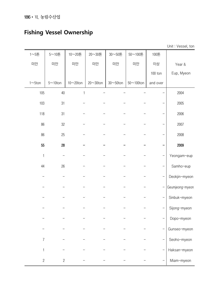## **Fishing Vessel Ownership**

| $1 \sim 5E$    | $5 \sim 10$ 톤   | 10~20톤         | 20~30톤           | 30~50톤           | 50~100톤           | 100톤                     |                 |
|----------------|-----------------|----------------|------------------|------------------|-------------------|--------------------------|-----------------|
| 미만             | 미만              | 미만             | 미만               | 미만               | 미만                | 이상                       | Year &          |
|                |                 |                |                  |                  |                   | $100$ ton                | Eup, Myeon      |
| $1 \sim 5$ ton | $5 \sim 10$ ton | $10\nu 20$ ton | $20 \sim 30$ ton | $30 \sim 50$ ton | $50 \sim 100$ ton | and over                 |                 |
| 105            | 40              | $\mathbf{1}$   |                  |                  |                   |                          | 2004            |
| 103            | 31              |                |                  |                  |                   |                          | 2005            |
| 118            | 31              |                |                  |                  |                   |                          | 2006            |
| 86             | 32              |                |                  |                  |                   |                          | 2007            |
| 86             | 25              |                |                  |                  |                   |                          | 2008            |
| 55             | 28              |                |                  |                  |                   |                          | 2009            |
| $\mathbf{1}$   |                 |                |                  |                  |                   |                          | Yeongam-eup     |
| 44             | 26              |                |                  |                  |                   |                          | Samho-eup       |
|                |                 |                |                  |                  |                   |                          | Deokjin-myeon   |
|                |                 |                |                  |                  |                   | $\overline{\phantom{0}}$ | Geumjeong-myeon |
|                |                 |                |                  |                  |                   |                          | Sinbuk-myeon    |
|                |                 |                |                  |                  |                   |                          | Sijong-myeon    |
|                |                 |                |                  |                  |                   |                          | Dopo-myeon      |
|                |                 |                |                  |                  |                   |                          | Gunseo-myeon    |
| $\overline{7}$ |                 |                |                  |                  |                   |                          | Seoho-myeon     |
| 1              |                 |                |                  |                  |                   |                          | Haksan-myeon    |
| $\mathbf{2}$   | $\overline{c}$  |                |                  |                  |                   |                          | Miam-myeon      |
|                |                 |                |                  |                  |                   |                          |                 |

Unit : Vessel, ton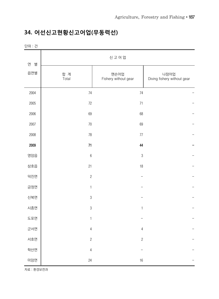## **34. 어선신고현황신고어업(무동력선)**

단위 : 건

| 연<br>별 |                | 신고어업                         |                                     |
|--------|----------------|------------------------------|-------------------------------------|
| 읍면별    | 합 계<br>Total   | 맨손어업<br>Fishery without gear | 나잠어업<br>Diving fishery without gear |
| 2004   | 74             | $74$                         |                                     |
| 2005   | $72\,$         | 71                           |                                     |
| 2006   | 69             | 68                           |                                     |
| 2007   | $70\,$         | 69                           |                                     |
| 2008   | 78             | $77\,$                       |                                     |
| 2009   | 71             | 44                           |                                     |
| 영암읍    | $\,6$          | $\sqrt{3}$                   |                                     |
| 삼호읍    | 21             | 18                           |                                     |
| 덕진면    | $\overline{c}$ |                              |                                     |
| 금정면    | $\mathbf{1}$   |                              |                                     |
| 신북면    | $\mathfrak 3$  |                              |                                     |
| 시종면    | $\mathfrak{B}$ | $\mathbf{1}$                 |                                     |
| 도포면    | $\mathbf{1}$   |                              |                                     |
| 군서면    | $\overline{4}$ | $\sqrt{4}$                   |                                     |
| 서호면    | $\overline{c}$ | $\sqrt{2}$                   |                                     |
| 학산면    | $\overline{4}$ |                              |                                     |
| 미암면    | 24             | $16\,$                       |                                     |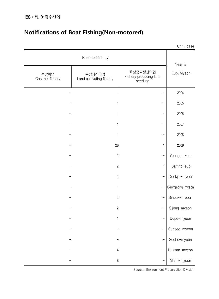|                          |                                    |                                                | Unit: case      |
|--------------------------|------------------------------------|------------------------------------------------|-----------------|
|                          | Reported fishery                   |                                                | Year &          |
| 투망어업<br>Cast net fishery | 육상양식어업<br>Land cultivating fishery | 육상종묘생산어업<br>Fishery producing land<br>seedling | Eup, Myeon      |
|                          |                                    |                                                | 2004            |
|                          | 1                                  |                                                | 2005            |
|                          | 1                                  |                                                | 2006            |
|                          | 1                                  |                                                | 2007            |
|                          | 1                                  |                                                | 2008            |
|                          | 26                                 | 1                                              | 2009            |
|                          | $\sqrt{3}$                         |                                                | Yeongam-eup     |
|                          | $\overline{c}$                     | 1                                              | Samho-eup       |
|                          | $\sqrt{2}$                         |                                                | Deokjin-myeon   |
|                          | 1                                  |                                                | Geumjeong-myeon |
|                          | $\sqrt{3}$                         |                                                | Sinbuk-myeon    |
|                          | $\overline{c}$                     |                                                | Sijong-myeon    |
|                          | 1                                  |                                                | Dopo-myeon      |
|                          |                                    |                                                | Gunseo-myeon    |
|                          |                                    |                                                | Seoho-myeon     |
|                          | $\overline{4}$                     | —                                              | Haksan-myeon    |
|                          | $\, 8$                             |                                                | Miam-myeon      |

## **Notifications of Boat Fishing(Non-motored)**

Source : Environment Preservation Division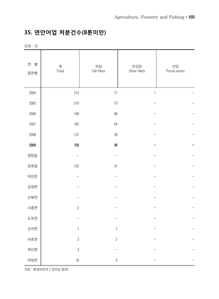## **35. 연안어업 처분건수(8톤미만)**

단위 : 건

| 연<br>별<br>읍면별 | 계<br>Total     | 자망<br><b>Gill Nets</b> | 안강망<br>Stow Nets | 선망<br>Purse eines |
|---------------|----------------|------------------------|------------------|-------------------|
| 2004          | 213            | $77\,$                 | $\mathbf{1}$     |                   |
| 2005          | 210            | 73                     |                  |                   |
| 2006          | 199            | 66                     |                  |                   |
| 2007          | 162            | 54                     |                  |                   |
| 2008          | 137            | 39                     |                  |                   |
| 2009          | $150\,$        | 39                     |                  |                   |
| 영암읍           |                |                        |                  |                   |
| 삼호읍           | 125            | 31                     |                  |                   |
| 덕진면           |                |                        |                  |                   |
| 금정면           |                |                        |                  |                   |
| 신북면           |                |                        |                  |                   |
| 시종면           | $\overline{c}$ |                        |                  |                   |
| 도포면           |                |                        |                  |                   |
| 군서면           | $\mathbf{1}$   | $\mathbf{1}$           |                  |                   |
| 서호면           | $\sqrt{3}$     | $\sqrt{2}$             |                  |                   |
| 학산면           | $\sqrt{3}$     |                        |                  |                   |
| 미암면           | $16\,$         | $\sqrt{5}$             |                  |                   |

자료 : 환경보전과 (! 양조망 없네)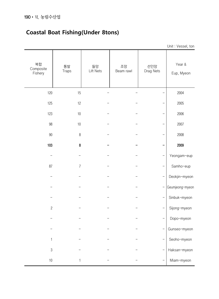## **Coastal Boat Fishing(Under 8tons)**

|                            |                    |                 |                 |                  | $O(n + VU)$          |
|----------------------------|--------------------|-----------------|-----------------|------------------|----------------------|
| 복합<br>Composite<br>Fishery | 통발<br><b>Traps</b> | 들망<br>Lift Nets | 조망<br>Beam rawl | 선인망<br>Drag Nets | Year &<br>Eup, Myeon |
| 120                        | 15                 |                 |                 |                  | 2004                 |
| 125                        | 12                 |                 |                 |                  | 2005                 |
| 123                        | $10$               |                 |                 |                  | 2006                 |
| 98                         | $10$               |                 |                 |                  | 2007                 |
| $90\,$                     | $\,8\,$            |                 |                 |                  | 2008                 |
| 103                        | 8                  |                 |                 |                  | 2009                 |
|                            |                    |                 |                 |                  | Yeongam-eup          |
| 87                         | $\overline{7}$     |                 |                 |                  | Samho-eup            |
|                            |                    |                 |                 |                  | Deokjin-myeon        |
|                            |                    |                 |                 |                  | Geumjeong-myeon      |
|                            |                    |                 |                 |                  | Sinbuk-myeon         |
| $\sqrt{2}$                 |                    |                 |                 |                  | Sijong-myeon         |
|                            |                    |                 |                 |                  | Dopo-myeon           |
|                            |                    |                 |                 |                  | Gunseo-myeon         |
| $\mathbf{1}$               |                    |                 |                 |                  | Seoho-myeon          |
| $\sqrt{3}$                 |                    |                 |                 |                  | Haksan-myeon         |
| $10\,$                     | 1                  |                 |                 |                  | Miam-myeon           |

Unit : Vessel, ton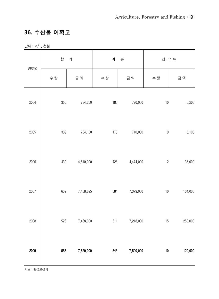#### **36. 수산물 어획고**

단위 : M/T, 천원

| 연도별  | 합       | 계         | 어       | 류         | 갑 각 류            |         |
|------|---------|-----------|---------|-----------|------------------|---------|
|      | 수 량     | 금 액       | 수 량     | 금 액       | 수 량              | 금 액     |
| 2004 | $350\,$ | 784,200   | $180\,$ | 720,000   | $10\,$           | 5,200   |
| 2005 | 339     | 764,100   | $170\,$ | 710,000   | $\boldsymbol{9}$ | 5,100   |
| 2006 | 430     | 4,510,000 | 428     | 4,474,000 | $\sqrt{2}$       | 36,000  |
| 2007 | 609     | 7,488,625 | 584     | 7,379,000 | $10$             | 104,000 |
| 2008 | 526     | 7,468,000 | 511     | 7,218,000 | 15               | 250,000 |
| 2009 | 553     | 7,620,000 | 543     | 7,500,000 | $10\,$           | 120,000 |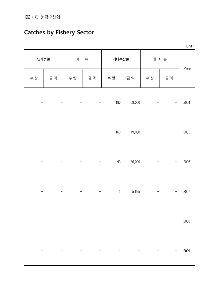# **Catches by Fishery Sector**

| Unit: |                          |      |        |         |                   |     |      |     |  |
|-------|--------------------------|------|--------|---------|-------------------|-----|------|-----|--|
| Year  |                          | 해 조류 |        | 기타수산물   |                   | 패   | 연체동물 |     |  |
|       | 금 액                      | 수 량  | 금 액    | 수 량     | 금 액               | 수 량 | 금 액  | 수 량 |  |
| 2004  | —                        |      | 59,000 | $180\,$ |                   |     |      |     |  |
| 2005  | $\overline{a}$           |      | 49,000 | $160\,$ | $\qquad \qquad -$ |     |      |     |  |
| 2006  | $\overline{a}$           |      | 36,000 | $93\,$  |                   |     |      |     |  |
| 2007  | $\overline{\phantom{0}}$ |      | 5,625  | 15      |                   |     |      |     |  |
| 2008  | $\overline{a}$           |      |        |         |                   |     |      |     |  |
| 2009  |                          |      |        |         |                   |     |      |     |  |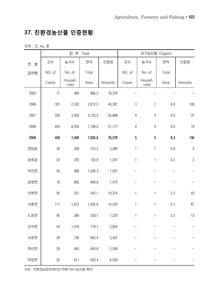#### **37. 친환경농산물 인증현황**

단위 : 건, ha, 톤

|        |        | 합 계                | Total   |         | 유기농산물 Organic                |                                     |         |                |
|--------|--------|--------------------|---------|---------|------------------------------|-------------------------------------|---------|----------------|
| 연<br>별 | 건수     | 농가수                | 면적      | 인증량     | 건수                           | 농가수                                 | 면적      | 인증량            |
| 읍면별    | NO. of | No. of             | Total   |         | NO. of                       | No. of                              | Total   |                |
|        | Cases  | Househ<br>$-$ olds | Area    | Amounts | Cases                        | Househ<br>$-$ olds                  | Area    | Amounts        |
| 2005   | 71     | 484                | 866.2   | 18,378  |                              |                                     |         |                |
| 2006   | 181    | 2,032              | 2,912.5 | 40,381  |                              | $\sqrt{3}$<br>4.0<br>$\overline{7}$ |         | 108            |
| 2007   | 324    | 3,420              | 5,133.0 | 50,898  | $\sqrt{4}$                   | $\overline{4}$                      | 4.0     | 37             |
| 2008   | 454    | 6,254              | 7,199.0 | 51,177  | $\overline{4}$<br>$\sqrt{4}$ |                                     | $8.0\,$ | 19             |
| 2009   | 459    | 7,400              | 7,835.6 | 76,578  | $\sqrt{5}$                   | 5                                   | 8.3     | 130            |
| 영암읍    | $30\,$ | 308                | 313.5   | 3,086   | $\mathbf{1}$                 | $\mathbf{1}$                        | $0.9\,$ | $\overline{4}$ |
| 삼호읍    | 22     | 235                | 130.9   | 1,347   | $\mathbf{1}$                 | 1                                   | 0.2     | $\sqrt{3}$     |
| 덕진면    | 55     | 988                | 1,026.3 | 7,201   |                              |                                     |         |                |
| 금정면    | 16     | 805                | 840.8   | 7,473   |                              |                                     |         |                |
| 신북면    | 45     | 331                | 542.1   | 19,374  | $\mathbf{1}$                 | $\mathbf{1}$                        | 3.3     | 43             |
| 시종면    | 117    | 1,672              | 1,935.6 | 14,520  | $\mathbf{1}$                 | $\mathbf{1}$                        | 0.7     | 67             |
| 도포면    | 45     | 266                | 528.1   | 7,220   | $\mathbf{1}$                 | $\mathbf{1}$                        | 3.2     | 13             |
| 군서면    | 54     | 1,016              | 778.7   | 3,834   |                              |                                     |         |                |
| 서호면    | $26\,$ | 726                | 665.4   | 3,437   |                              |                                     |         |                |
| 학산면    | 29     | 442                | 440.8   | 2,558   |                              |                                     |         |                |
| 미암면    | $20\,$ | 611                | 633.4   | 6,528   |                              |                                     |         |                |

자료 : 친환경농업과(2007년 전환기유기농산물 폐지)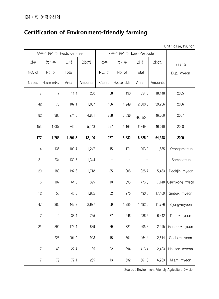## **Certification of Environment-friendly farming**

Unit : case, ha, ton

|                | 무농약 농산물 Pesticide Free |         |         |        |            | 저농약 농산물 Low-Pesticide |         |                 |
|----------------|------------------------|---------|---------|--------|------------|-----------------------|---------|-----------------|
| 건수             | 농가수                    | 면적      | 인증량     | 건수     | 농가수        | 면적                    | 인증량     | Year &          |
| NO. of         | No. of                 | Total   |         | NO. of | No. of     | Total                 |         | Eup, Myeon      |
| Cases          | Household-s            | Area    | Amounts | Cases  | Households | Area                  | Amounts |                 |
| 7              | $\overline{7}$         | 11.4    | 230     | 88     | 190        | 854.8                 | 18,148  | 2005            |
| 42             | 76                     | 107.1   | 1,037   | 136    | 1,949      | 2,800.8               | 39,236  | 2006            |
| 82             | 380                    | 274.0   | 4,801   | 238    | 3,036      | 48,550.0              | 46,060  | 2007            |
| 153            | 1,087                  | 842.0   | 5,148   | 297    | 5,163      | 6,349.0               | 46,010  | 2008            |
| 177            | 1,763                  | 1,501.3 | 12,100  | 277    | 5,632      | 6,326.0               | 64,348  | 2009            |
| 14             | 136                    | 109.4   | 1,247   | 15     | 171        | 203.2                 | 1,835   | Yeongam-eup     |
| 21             | 234                    | 130.7   | 1,344   |        |            |                       |         | Samho-eup       |
| 20             | 180                    | 197.6   | 1,718   | $35\,$ | 808        | 828.7                 | 5,483   | Deokjin-myeon   |
| $6\,$          | 107                    | 64.0    | 325     | 10     | 698        | 776.8                 | 7,148   | Geumjeong-myeon |
| 12             | 55                     | 45.0    | 1,862   | 32     | 275        | 493.8                 | 17,469  | Sinbuk-myeon    |
| 47             | 386                    | 442.3   | 2,677   | 69     | 1,285      | 1,492.6               | 11,776  | Sijong-myeon    |
| $\overline{7}$ | 19                     | 38.4    | 765     | $37\,$ | 246        | 486.5                 | 6,442   | Dopo-myeon      |
| 25             | 294                    | 173.4   | 839     | 29     | 722        | 605.3                 | 2,995   | Gunseo-myeon    |
| 11             | 225                    | 201.0   | 923     | 15     | 501        | 464.4                 | 2,514   | Seoho-myeon     |
| $\overline{7}$ | 48                     | 27.4    | 135     | 22     | 394        | 413.4                 | 2,423   | Haksan-myeon    |
| $\overline{7}$ | 79                     | 72.1    | 265     | 13     | 532        | 561.3                 | 6,263   | Miam-myeon      |

Source : Environment Friendly Agriculture Division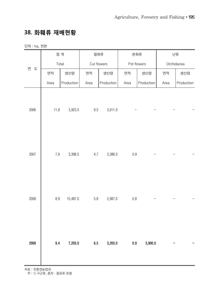#### **38. 화훼류 재배현황**

단위 : ha, 천본

|        |         | 합 계        |         | 절화류         | 분화류         |            | 난류   |            |  |
|--------|---------|------------|---------|-------------|-------------|------------|------|------------|--|
| 연<br>도 |         | Total      |         | Cut flowers | Pot flowers |            |      | Orchidacea |  |
|        | 면적      | 생산량        | 면적      | 생산량         | 면적<br>생산량   |            | 면적   | 생산량        |  |
|        | Area    | Production | Area    | Production  | Area        | Production | Area | Production |  |
| 2006   | 11.8    | 3,923.5    | $9.5\,$ | 3,911.0     |             |            |      |            |  |
|        |         |            |         |             |             |            |      |            |  |
| 2007   | $7.9\,$ | 3,398.5    | 4.7     | 3,386.0     | $0.9\,$     |            |      |            |  |
| 2008   | $\,8.9$ | 15,487.0   | $5.8\,$ | 2,987.0     | $0.8\,$     |            |      |            |  |
| 2009   | 9.4     | 7,203.0    | 6.5     | 3,203.0     | 0.9         | 3,900.0    |      |            |  |

자료 : 친환경농업과

주 : 1) 구근류, 종자·종묘류 포함